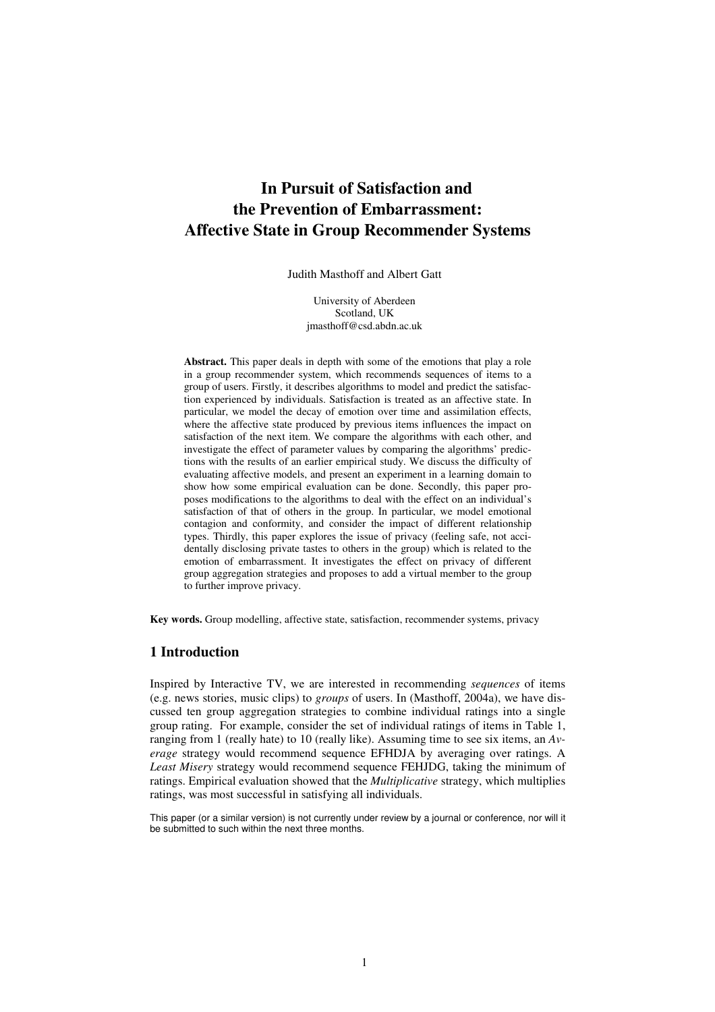# **In Pursuit of Satisfaction and the Prevention of Embarrassment: Affective State in Group Recommender Systems**

Judith Masthoff and Albert Gatt

University of Aberdeen Scotland, UK jmasthoff@csd.abdn.ac.uk

**Abstract.** This paper deals in depth with some of the emotions that play a role in a group recommender system, which recommends sequences of items to a group of users. Firstly, it describes algorithms to model and predict the satisfaction experienced by individuals. Satisfaction is treated as an affective state. In particular, we model the decay of emotion over time and assimilation effects, where the affective state produced by previous items influences the impact on satisfaction of the next item. We compare the algorithms with each other, and investigate the effect of parameter values by comparing the algorithms' predictions with the results of an earlier empirical study. We discuss the difficulty of evaluating affective models, and present an experiment in a learning domain to show how some empirical evaluation can be done. Secondly, this paper proposes modifications to the algorithms to deal with the effect on an individual's satisfaction of that of others in the group. In particular, we model emotional contagion and conformity, and consider the impact of different relationship types. Thirdly, this paper explores the issue of privacy (feeling safe, not accidentally disclosing private tastes to others in the group) which is related to the emotion of embarrassment. It investigates the effect on privacy of different group aggregation strategies and proposes to add a virtual member to the group to further improve privacy.

**Key words.** Group modelling, affective state, satisfaction, recommender systems, privacy

# **1 Introduction**

Inspired by Interactive TV, we are interested in recommending *sequences* of items (e.g. news stories, music clips) to *groups* of users. In (Masthoff, 2004a), we have discussed ten group aggregation strategies to combine individual ratings into a single group rating. For example, consider the set of individual ratings of items in Table 1, ranging from 1 (really hate) to 10 (really like). Assuming time to see six items, an *Average* strategy would recommend sequence EFHDJA by averaging over ratings. A *Least Misery* strategy would recommend sequence FEHJDG, taking the minimum of ratings. Empirical evaluation showed that the *Multiplicative* strategy, which multiplies ratings, was most successful in satisfying all individuals.

This paper (or a similar version) is not currently under review by a journal or conference, nor will it be submitted to such within the next three months.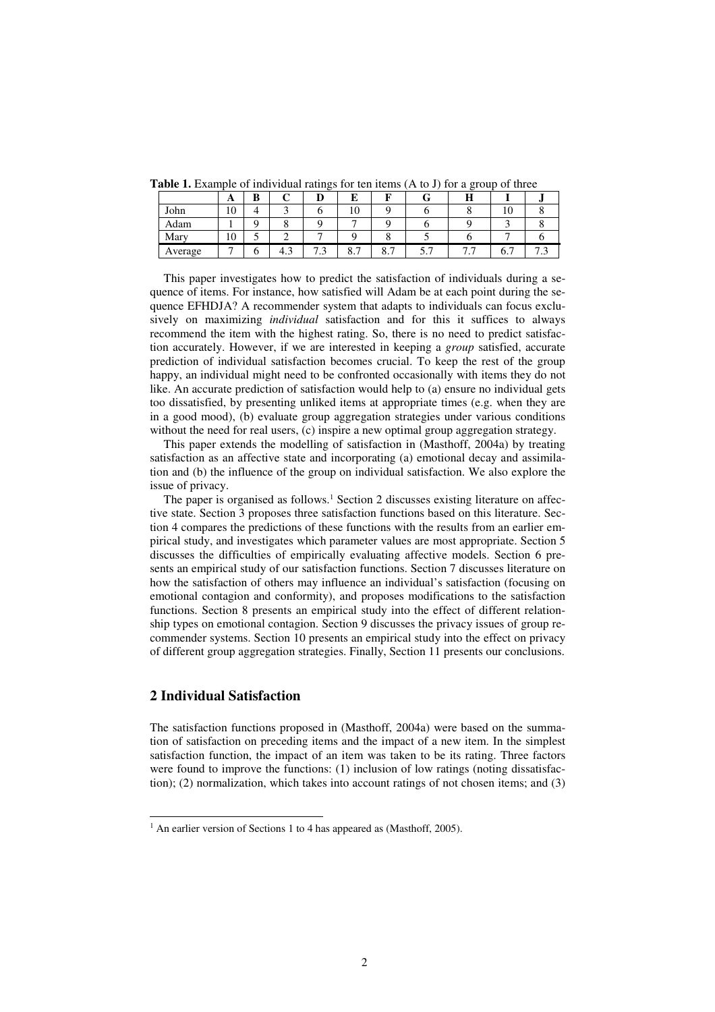|         |         |     |         | Ë         |                                             |                                   |           | Ë                        |                                  |         |
|---------|---------|-----|---------|-----------|---------------------------------------------|-----------------------------------|-----------|--------------------------|----------------------------------|---------|
|         | A       | B   | ⌒<br>ι. |           |                                             | ┳                                 |           | п                        |                                  |         |
| John    | c<br>ıυ |     |         |           | $\overline{1}$                              |                                   |           |                          | ιv                               |         |
| Adam    |         |     |         |           |                                             |                                   |           |                          |                                  |         |
| Mary    | ΙU      | . . |         |           |                                             |                                   |           |                          |                                  |         |
| Average |         |     | 4.3     | −<br>ر. ا | $\overline{\phantom{0}}$<br>$\Omega$<br>0.1 | $\Omega$<br>$\overline{ }$<br>v., | די<br>، ب | $\overline{ }$<br>-<br>. | $\overline{ }$<br>$\mathbf{0}$ . | $\cdot$ |

**Table 1.** Example of individual ratings for ten items (A to J) for a group of three

This paper investigates how to predict the satisfaction of individuals during a sequence of items. For instance, how satisfied will Adam be at each point during the sequence EFHDJA? A recommender system that adapts to individuals can focus exclusively on maximizing *individual* satisfaction and for this it suffices to always recommend the item with the highest rating. So, there is no need to predict satisfaction accurately. However, if we are interested in keeping a *group* satisfied, accurate prediction of individual satisfaction becomes crucial. To keep the rest of the group happy, an individual might need to be confronted occasionally with items they do not like. An accurate prediction of satisfaction would help to (a) ensure no individual gets too dissatisfied, by presenting unliked items at appropriate times (e.g. when they are in a good mood), (b) evaluate group aggregation strategies under various conditions without the need for real users, (c) inspire a new optimal group aggregation strategy.

This paper extends the modelling of satisfaction in (Masthoff, 2004a) by treating satisfaction as an affective state and incorporating (a) emotional decay and assimilation and (b) the influence of the group on individual satisfaction. We also explore the issue of privacy.

The paper is organised as follows.<sup>1</sup> Section 2 discusses existing literature on affective state. Section 3 proposes three satisfaction functions based on this literature. Section 4 compares the predictions of these functions with the results from an earlier empirical study, and investigates which parameter values are most appropriate. Section 5 discusses the difficulties of empirically evaluating affective models. Section 6 presents an empirical study of our satisfaction functions. Section 7 discusses literature on how the satisfaction of others may influence an individual's satisfaction (focusing on emotional contagion and conformity), and proposes modifications to the satisfaction functions. Section 8 presents an empirical study into the effect of different relationship types on emotional contagion. Section 9 discusses the privacy issues of group recommender systems. Section 10 presents an empirical study into the effect on privacy of different group aggregation strategies. Finally, Section 11 presents our conclusions.

# **2 Individual Satisfaction**

l

The satisfaction functions proposed in (Masthoff, 2004a) were based on the summation of satisfaction on preceding items and the impact of a new item. In the simplest satisfaction function, the impact of an item was taken to be its rating. Three factors were found to improve the functions: (1) inclusion of low ratings (noting dissatisfaction); (2) normalization, which takes into account ratings of not chosen items; and (3)

<sup>&</sup>lt;sup>1</sup> An earlier version of Sections 1 to 4 has appeared as (Masthoff, 2005).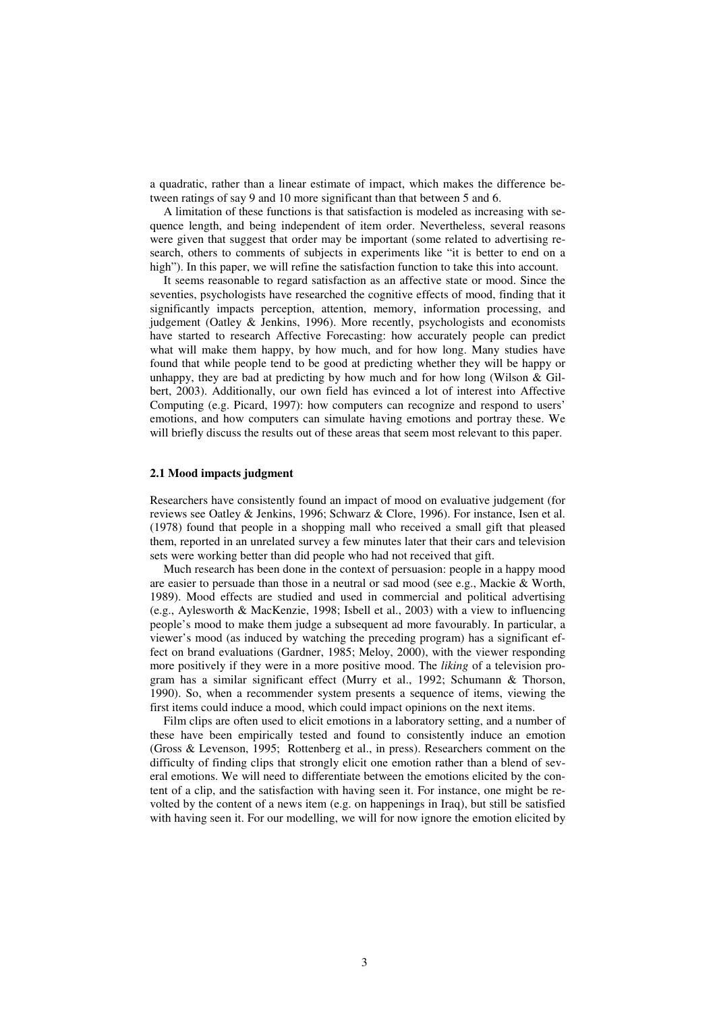a quadratic, rather than a linear estimate of impact, which makes the difference between ratings of say 9 and 10 more significant than that between 5 and 6.

A limitation of these functions is that satisfaction is modeled as increasing with sequence length, and being independent of item order. Nevertheless, several reasons were given that suggest that order may be important (some related to advertising research, others to comments of subjects in experiments like "it is better to end on a high"). In this paper, we will refine the satisfaction function to take this into account.

It seems reasonable to regard satisfaction as an affective state or mood. Since the seventies, psychologists have researched the cognitive effects of mood, finding that it significantly impacts perception, attention, memory, information processing, and judgement (Oatley & Jenkins, 1996). More recently, psychologists and economists have started to research Affective Forecasting: how accurately people can predict what will make them happy, by how much, and for how long. Many studies have found that while people tend to be good at predicting whether they will be happy or unhappy, they are bad at predicting by how much and for how long (Wilson  $& Gil$ bert, 2003). Additionally, our own field has evinced a lot of interest into Affective Computing (e.g. Picard, 1997): how computers can recognize and respond to users' emotions, and how computers can simulate having emotions and portray these. We will briefly discuss the results out of these areas that seem most relevant to this paper.

### **2.1 Mood impacts judgment**

Researchers have consistently found an impact of mood on evaluative judgement (for reviews see Oatley & Jenkins, 1996; Schwarz & Clore, 1996). For instance, Isen et al. (1978) found that people in a shopping mall who received a small gift that pleased them, reported in an unrelated survey a few minutes later that their cars and television sets were working better than did people who had not received that gift.

Much research has been done in the context of persuasion: people in a happy mood are easier to persuade than those in a neutral or sad mood (see e.g., Mackie & Worth, 1989). Mood effects are studied and used in commercial and political advertising (e.g., Aylesworth & MacKenzie, 1998; Isbell et al., 2003) with a view to influencing people's mood to make them judge a subsequent ad more favourably. In particular, a viewer's mood (as induced by watching the preceding program) has a significant effect on brand evaluations (Gardner, 1985; Meloy, 2000), with the viewer responding more positively if they were in a more positive mood. The *liking* of a television program has a similar significant effect (Murry et al., 1992; Schumann & Thorson, 1990). So, when a recommender system presents a sequence of items, viewing the first items could induce a mood, which could impact opinions on the next items.

Film clips are often used to elicit emotions in a laboratory setting, and a number of these have been empirically tested and found to consistently induce an emotion (Gross & Levenson, 1995; Rottenberg et al., in press). Researchers comment on the difficulty of finding clips that strongly elicit one emotion rather than a blend of several emotions. We will need to differentiate between the emotions elicited by the content of a clip, and the satisfaction with having seen it. For instance, one might be revolted by the content of a news item (e.g. on happenings in Iraq), but still be satisfied with having seen it. For our modelling, we will for now ignore the emotion elicited by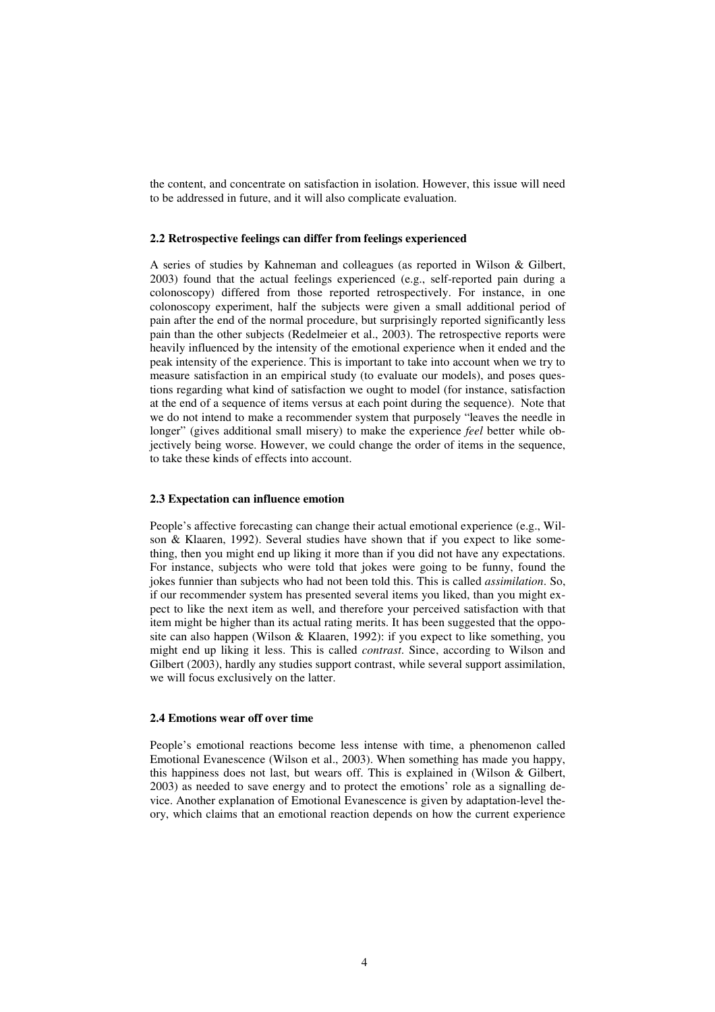the content, and concentrate on satisfaction in isolation. However, this issue will need to be addressed in future, and it will also complicate evaluation.

#### **2.2 Retrospective feelings can differ from feelings experienced**

A series of studies by Kahneman and colleagues (as reported in Wilson & Gilbert, 2003) found that the actual feelings experienced (e.g., self-reported pain during a colonoscopy) differed from those reported retrospectively. For instance, in one colonoscopy experiment, half the subjects were given a small additional period of pain after the end of the normal procedure, but surprisingly reported significantly less pain than the other subjects (Redelmeier et al., 2003). The retrospective reports were heavily influenced by the intensity of the emotional experience when it ended and the peak intensity of the experience. This is important to take into account when we try to measure satisfaction in an empirical study (to evaluate our models), and poses questions regarding what kind of satisfaction we ought to model (for instance, satisfaction at the end of a sequence of items versus at each point during the sequence). Note that we do not intend to make a recommender system that purposely "leaves the needle in longer" (gives additional small misery) to make the experience *feel* better while objectively being worse. However, we could change the order of items in the sequence, to take these kinds of effects into account.

### **2.3 Expectation can influence emotion**

People's affective forecasting can change their actual emotional experience (e.g., Wilson & Klaaren, 1992). Several studies have shown that if you expect to like something, then you might end up liking it more than if you did not have any expectations. For instance, subjects who were told that jokes were going to be funny, found the jokes funnier than subjects who had not been told this. This is called *assimilation*. So, if our recommender system has presented several items you liked, than you might expect to like the next item as well, and therefore your perceived satisfaction with that item might be higher than its actual rating merits. It has been suggested that the opposite can also happen (Wilson & Klaaren, 1992): if you expect to like something, you might end up liking it less. This is called *contrast*. Since, according to Wilson and Gilbert (2003), hardly any studies support contrast, while several support assimilation, we will focus exclusively on the latter.

## **2.4 Emotions wear off over time**

People's emotional reactions become less intense with time, a phenomenon called Emotional Evanescence (Wilson et al., 2003). When something has made you happy, this happiness does not last, but wears off. This is explained in (Wilson & Gilbert, 2003) as needed to save energy and to protect the emotions' role as a signalling device. Another explanation of Emotional Evanescence is given by adaptation-level theory, which claims that an emotional reaction depends on how the current experience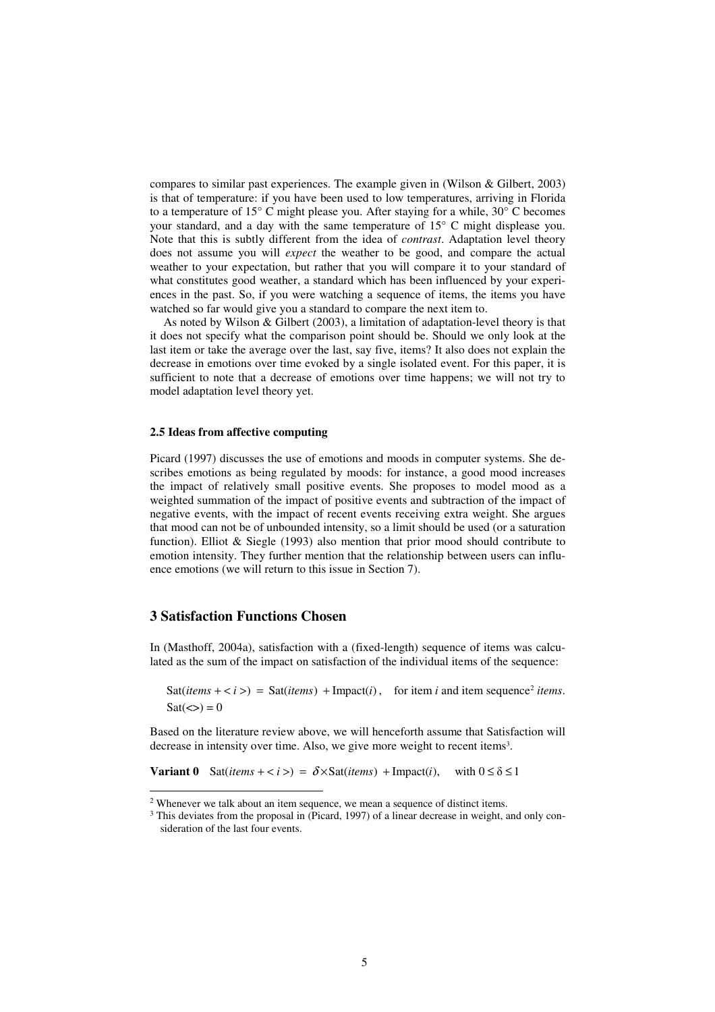compares to similar past experiences. The example given in (Wilson & Gilbert, 2003) is that of temperature: if you have been used to low temperatures, arriving in Florida to a temperature of 15° C might please you. After staying for a while, 30° C becomes your standard, and a day with the same temperature of 15° C might displease you. Note that this is subtly different from the idea of *contrast*. Adaptation level theory does not assume you will *expect* the weather to be good, and compare the actual weather to your expectation, but rather that you will compare it to your standard of what constitutes good weather, a standard which has been influenced by your experiences in the past. So, if you were watching a sequence of items, the items you have watched so far would give you a standard to compare the next item to.

As noted by Wilson & Gilbert (2003), a limitation of adaptation-level theory is that it does not specify what the comparison point should be. Should we only look at the last item or take the average over the last, say five, items? It also does not explain the decrease in emotions over time evoked by a single isolated event. For this paper, it is sufficient to note that a decrease of emotions over time happens; we will not try to model adaptation level theory yet.

# **2.5 Ideas from affective computing**

Picard (1997) discusses the use of emotions and moods in computer systems. She describes emotions as being regulated by moods: for instance, a good mood increases the impact of relatively small positive events. She proposes to model mood as a weighted summation of the impact of positive events and subtraction of the impact of negative events, with the impact of recent events receiving extra weight. She argues that mood can not be of unbounded intensity, so a limit should be used (or a saturation function). Elliot & Siegle (1993) also mention that prior mood should contribute to emotion intensity. They further mention that the relationship between users can influence emotions (we will return to this issue in Section 7).

# **3 Satisfaction Functions Chosen**

l

In (Masthoff, 2004a), satisfaction with a (fixed-length) sequence of items was calculated as the sum of the impact on satisfaction of the individual items of the sequence:

 $Sat(*items* + *i*) = Sat(*items*) + Impact(*i*), for item *i* and item sequence<sup>2</sup> *items*.$  $Sat(<) = 0$ 

Based on the literature review above, we will henceforth assume that Satisfaction will decrease in intensity over time. Also, we give more weight to recent items<sup>3</sup>.

**Variant 0** Sat(*items* + < *i* >) =  $\delta \times$ Sat(*items*) + Impact(*i*), with  $0 \le \delta \le 1$ 

<sup>&</sup>lt;sup>2</sup> Whenever we talk about an item sequence, we mean a sequence of distinct items.

<sup>&</sup>lt;sup>3</sup> This deviates from the proposal in (Picard, 1997) of a linear decrease in weight, and only consideration of the last four events.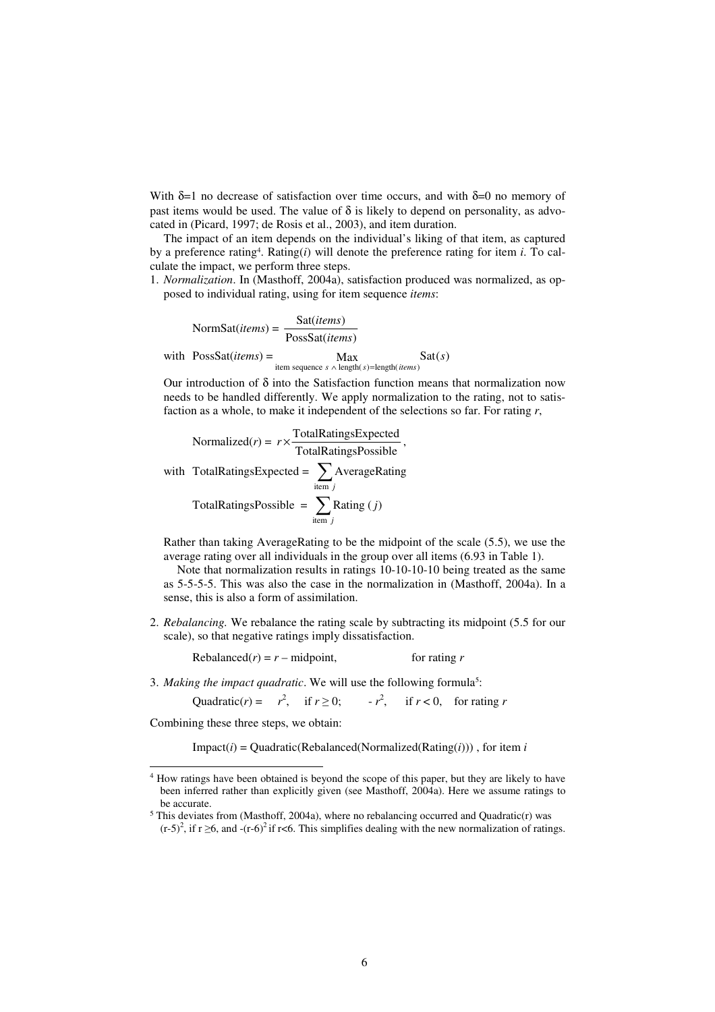With  $\delta=1$  no decrease of satisfaction over time occurs, and with  $\delta=0$  no memory of past items would be used. The value of  $\delta$  is likely to depend on personality, as advocated in (Picard, 1997; de Rosis et al., 2003), and item duration.

The impact of an item depends on the individual's liking of that item, as captured by a preference rating<sup>4</sup>. Rating(*i*) will denote the preference rating for item *i*. To calculate the impact, we perform three steps.

1. *Normalization*. In (Masthoff, 2004a), satisfaction produced was normalized, as opposed to individual rating, using for item sequence *items*:

$$
NormSat(items) = \frac{Sat(items)}{PossSat(items)}
$$
  
with PossSat(items) = Max  
item sequence s \land length(s)=length(items)

Our introduction of  $\delta$  into the Satisfaction function means that normalization now needs to be handled differently. We apply normalization to the rating, not to satisfaction as a whole, to make it independent of the selections so far. For rating *r*,

Normalized(*r*) = 
$$
r \times \frac{\text{TotalRatingsExpected}}{\text{TotalRatingsPossible}}
$$
,  
with TotalRatingsExpected =  $\sum_{i \text{term } j} \text{AverageRating}$ 

TotalRatingsPossible =  $\sum$ *j j* item Rating  $(j)$ 

Rather than taking AverageRating to be the midpoint of the scale (5.5), we use the average rating over all individuals in the group over all items (6.93 in Table 1).

Note that normalization results in ratings 10-10-10-10 being treated as the same as 5-5-5-5. This was also the case in the normalization in (Masthoff, 2004a). In a sense, this is also a form of assimilation.

2. *Rebalancing.* We rebalance the rating scale by subtracting its midpoint (5.5 for our scale), so that negative ratings imply dissatisfaction.

Rebalanced( $r$ ) =  $r$  – midpoint, for rating  $r$ 

3. Making the impact quadratic. We will use the following formula<sup>5</sup>:

Quadratic(*r*) =  $r^2$ , if  $r \ge 0$ ;  $-r^2$ , if  $r < 0$ , for rating *r* 

Combining these three steps, we obtain:

l

 $Impact(i) = Quadratic(Rebalanced(Normalized(Rating(i)))$ , for item *i* 

<sup>4</sup> How ratings have been obtained is beyond the scope of this paper, but they are likely to have been inferred rather than explicitly given (see Masthoff, 2004a). Here we assume ratings to be accurate.

 $5$  This deviates from (Masthoff, 2004a), where no rebalancing occurred and Quadratic(r) was

 $(r-5)^2$ , if  $r \ge 6$ , and  $-(r-6)^2$  if r<6. This simplifies dealing with the new normalization of ratings.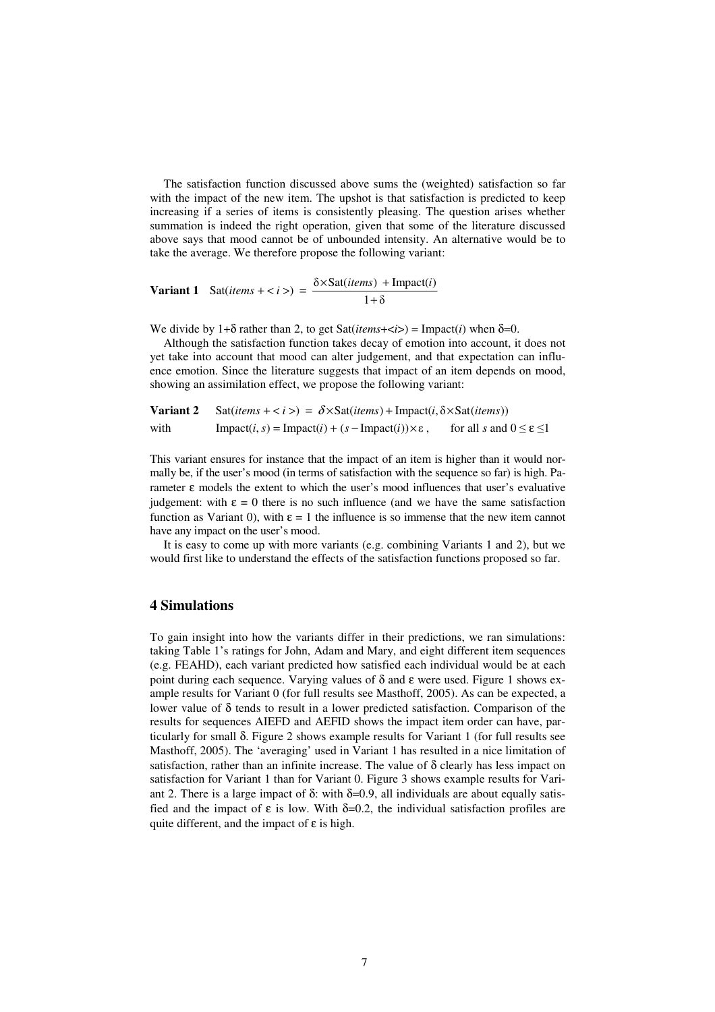The satisfaction function discussed above sums the (weighted) satisfaction so far with the impact of the new item. The upshot is that satisfaction is predicted to keep increasing if a series of items is consistently pleasing. The question arises whether summation is indeed the right operation, given that some of the literature discussed above says that mood cannot be of unbounded intensity. An alternative would be to take the average. We therefore propose the following variant:

**Variant 1** Sat(*items* + < *i* >) =  $\frac{0 \times \text{Sat}(i \text{ terms})}{1 + \delta}$ Sat(*items* + < *i* >) =  $\frac{\delta \times \text{Sat}(items) + \text{Import}(i)}{\delta \times \text{Sat}(times)}$ +  $items + *i*>) = \frac{\delta \times \text{Sat}(items) + \text{Import}(i)}{s}$ 

We divide by  $1+\delta$  rather than 2, to get Sat(*items*+ $\langle i \rangle$ ) = Impact(*i*) when  $\delta$ =0.

Although the satisfaction function takes decay of emotion into account, it does not yet take into account that mood can alter judgement, and that expectation can influence emotion. Since the literature suggests that impact of an item depends on mood, showing an assimilation effect, we propose the following variant:

| Variant 2 | $Sat(items + i) = \delta \times Sat(items) + Impact(i, \delta \times Sat(items))$      |                                         |
|-----------|----------------------------------------------------------------------------------------|-----------------------------------------|
| with      | $\text{Import}(i, s) = \text{Import}(i) + (s - \text{Import}(i)) \times \varepsilon$ , | for all s and $0 \le \varepsilon \le 1$ |

This variant ensures for instance that the impact of an item is higher than it would normally be, if the user's mood (in terms of satisfaction with the sequence so far) is high. Parameter ε models the extent to which the user's mood influences that user's evaluative judgement: with  $\varepsilon = 0$  there is no such influence (and we have the same satisfaction function as Variant 0), with  $\varepsilon = 1$  the influence is so immense that the new item cannot have any impact on the user's mood.

It is easy to come up with more variants (e.g. combining Variants 1 and 2), but we would first like to understand the effects of the satisfaction functions proposed so far.

# **4 Simulations**

To gain insight into how the variants differ in their predictions, we ran simulations: taking Table 1's ratings for John, Adam and Mary, and eight different item sequences (e.g. FEAHD), each variant predicted how satisfied each individual would be at each point during each sequence. Varying values of δ and ε were used. Figure 1 shows example results for Variant 0 (for full results see Masthoff, 2005). As can be expected, a lower value of  $\delta$  tends to result in a lower predicted satisfaction. Comparison of the results for sequences AIEFD and AEFID shows the impact item order can have, particularly for small δ. Figure 2 shows example results for Variant 1 (for full results see Masthoff, 2005). The 'averaging' used in Variant 1 has resulted in a nice limitation of satisfaction, rather than an infinite increase. The value of  $\delta$  clearly has less impact on satisfaction for Variant 1 than for Variant 0. Figure 3 shows example results for Variant 2. There is a large impact of  $\delta$ : with  $\delta$ =0.9, all individuals are about equally satisfied and the impact of  $\varepsilon$  is low. With  $\delta = 0.2$ , the individual satisfaction profiles are quite different, and the impact of  $\varepsilon$  is high.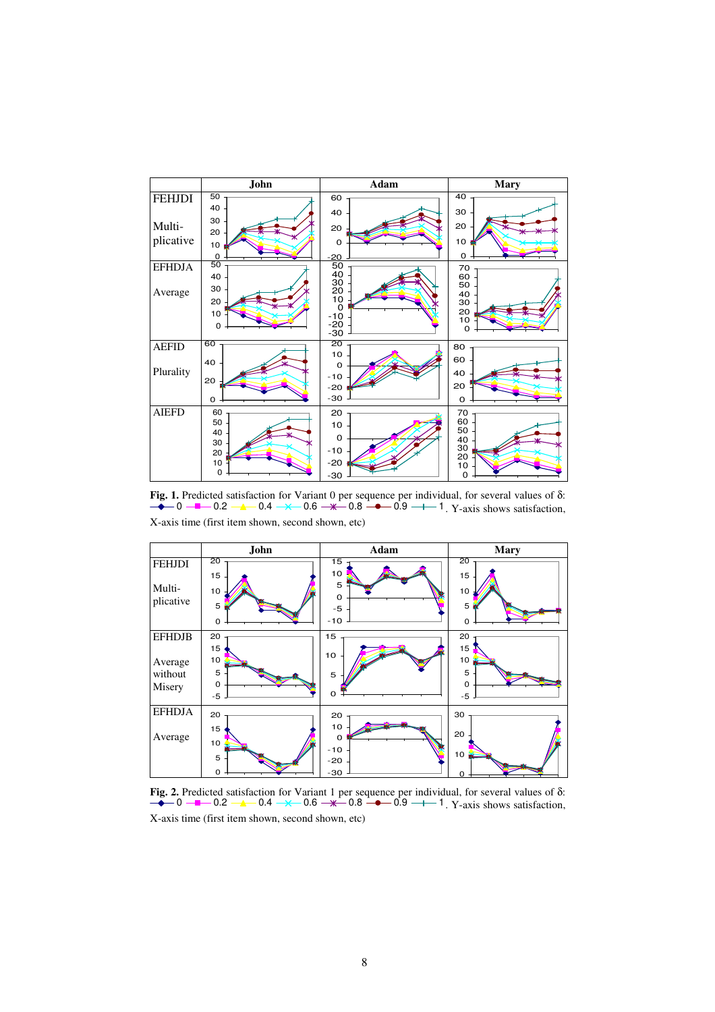

**Fig. 1.** Predicted satisfaction for Variant 0 per sequence per individual, for several values of δ:  $0 - -0.2 - 0.4 \rightarrow 0.6 - \frac{0.8}{0.8} - 0.8 \rightarrow 1$ . Y-axis shows satisfaction, X-axis time (first item shown, second shown, etc)



**Fig. 2.** Predicted satisfaction for Variant 1 per sequence per individual, for several values of δ:  $0 - -0.2 - 0.4 \rightarrow 0.6 - \frac{0.8}{0.8} - 0.8 \rightarrow 1$ . Y-axis shows satisfaction, X-axis time (first item shown, second shown, etc)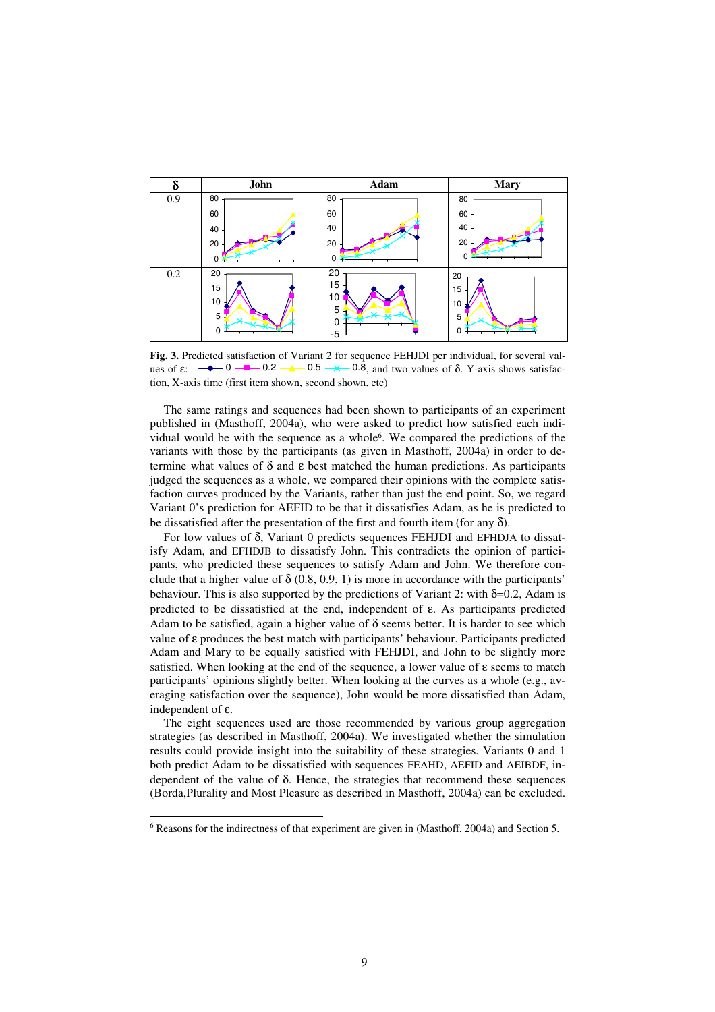

**Fig. 3.** Predicted satisfaction of Variant 2 for sequence FEHJDI per individual, for several values of  $\varepsilon$ :  $\rightarrow 0$  - 0.2  $\rightarrow 0.5$   $\rightarrow \rightarrow 0.8$ , and two values of δ. Y-axis shows satisfaction, X-axis time (first item shown, second shown, etc)

The same ratings and sequences had been shown to participants of an experiment published in (Masthoff, 2004a), who were asked to predict how satisfied each individual would be with the sequence as a whole<sup>6</sup>. We compared the predictions of the variants with those by the participants (as given in Masthoff, 2004a) in order to determine what values of  $\delta$  and  $\varepsilon$  best matched the human predictions. As participants judged the sequences as a whole, we compared their opinions with the complete satisfaction curves produced by the Variants, rather than just the end point. So, we regard Variant 0's prediction for AEFID to be that it dissatisfies Adam, as he is predicted to be dissatisfied after the presentation of the first and fourth item (for any  $\delta$ ).

For low values of δ, Variant 0 predicts sequences FEHJDI and EFHDJA to dissatisfy Adam, and EFHDJB to dissatisfy John. This contradicts the opinion of participants, who predicted these sequences to satisfy Adam and John. We therefore conclude that a higher value of  $\delta$  (0.8, 0.9, 1) is more in accordance with the participants' behaviour. This is also supported by the predictions of Variant 2: with  $\delta = 0.2$ , Adam is predicted to be dissatisfied at the end, independent of ε. As participants predicted Adam to be satisfied, again a higher value of  $\delta$  seems better. It is harder to see which value of ε produces the best match with participants' behaviour. Participants predicted Adam and Mary to be equally satisfied with FEHJDI, and John to be slightly more satisfied. When looking at the end of the sequence, a lower value of  $\varepsilon$  seems to match participants' opinions slightly better. When looking at the curves as a whole (e.g., averaging satisfaction over the sequence), John would be more dissatisfied than Adam, independent of ε.

The eight sequences used are those recommended by various group aggregation strategies (as described in Masthoff, 2004a). We investigated whether the simulation results could provide insight into the suitability of these strategies. Variants 0 and 1 both predict Adam to be dissatisfied with sequences FEAHD, AEFID and AEIBDF, independent of the value of δ. Hence, the strategies that recommend these sequences (Borda,Plurality and Most Pleasure as described in Masthoff, 2004a) can be excluded.

<sup>&</sup>lt;sup>6</sup> Reasons for the indirectness of that experiment are given in (Masthoff, 2004a) and Section 5.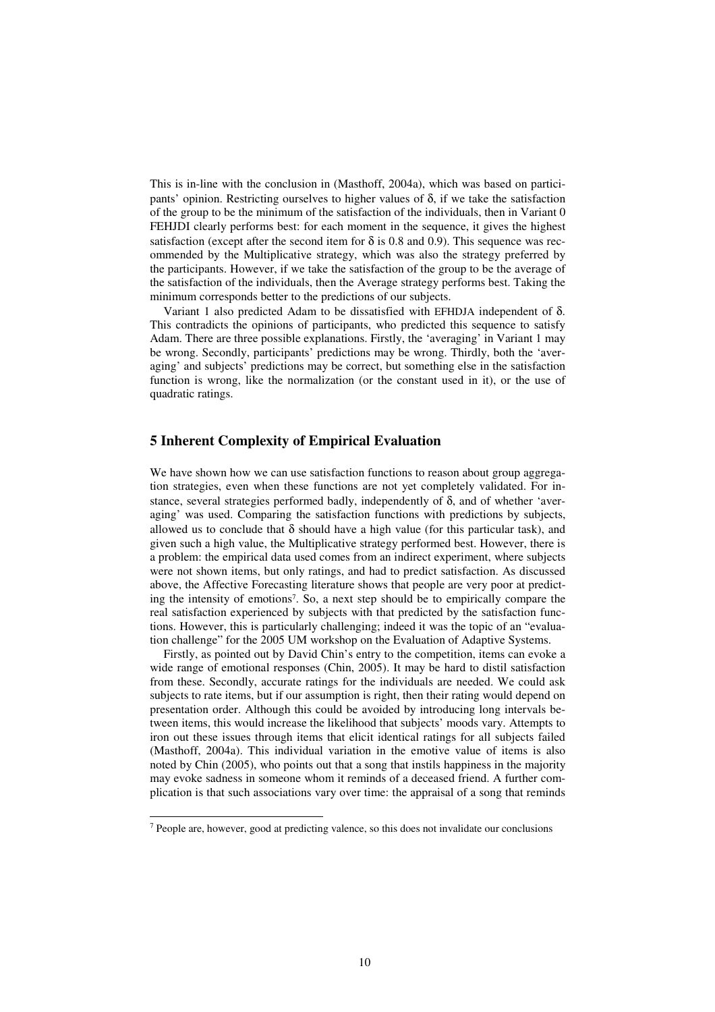This is in-line with the conclusion in (Masthoff, 2004a), which was based on participants' opinion. Restricting ourselves to higher values of δ, if we take the satisfaction of the group to be the minimum of the satisfaction of the individuals, then in Variant 0 FEHJDI clearly performs best: for each moment in the sequence, it gives the highest satisfaction (except after the second item for  $\delta$  is 0.8 and 0.9). This sequence was recommended by the Multiplicative strategy, which was also the strategy preferred by the participants. However, if we take the satisfaction of the group to be the average of the satisfaction of the individuals, then the Average strategy performs best. Taking the minimum corresponds better to the predictions of our subjects.

Variant 1 also predicted Adam to be dissatisfied with EFHDJA independent of δ. This contradicts the opinions of participants, who predicted this sequence to satisfy Adam. There are three possible explanations. Firstly, the 'averaging' in Variant 1 may be wrong. Secondly, participants' predictions may be wrong. Thirdly, both the 'averaging' and subjects' predictions may be correct, but something else in the satisfaction function is wrong, like the normalization (or the constant used in it), or the use of quadratic ratings.

# **5 Inherent Complexity of Empirical Evaluation**

We have shown how we can use satisfaction functions to reason about group aggregation strategies, even when these functions are not yet completely validated. For instance, several strategies performed badly, independently of  $\delta$ , and of whether 'averaging' was used. Comparing the satisfaction functions with predictions by subjects, allowed us to conclude that  $\delta$  should have a high value (for this particular task), and given such a high value, the Multiplicative strategy performed best. However, there is a problem: the empirical data used comes from an indirect experiment, where subjects were not shown items, but only ratings, and had to predict satisfaction. As discussed above, the Affective Forecasting literature shows that people are very poor at predicting the intensity of emotions<sup>7</sup> . So, a next step should be to empirically compare the real satisfaction experienced by subjects with that predicted by the satisfaction functions. However, this is particularly challenging; indeed it was the topic of an "evaluation challenge" for the 2005 UM workshop on the Evaluation of Adaptive Systems.

Firstly, as pointed out by David Chin's entry to the competition, items can evoke a wide range of emotional responses (Chin, 2005). It may be hard to distil satisfaction from these. Secondly, accurate ratings for the individuals are needed. We could ask subjects to rate items, but if our assumption is right, then their rating would depend on presentation order. Although this could be avoided by introducing long intervals between items, this would increase the likelihood that subjects' moods vary. Attempts to iron out these issues through items that elicit identical ratings for all subjects failed (Masthoff, 2004a). This individual variation in the emotive value of items is also noted by Chin (2005), who points out that a song that instils happiness in the majority may evoke sadness in someone whom it reminds of a deceased friend. A further complication is that such associations vary over time: the appraisal of a song that reminds

<sup>&</sup>lt;sup>7</sup> People are, however, good at predicting valence, so this does not invalidate our conclusions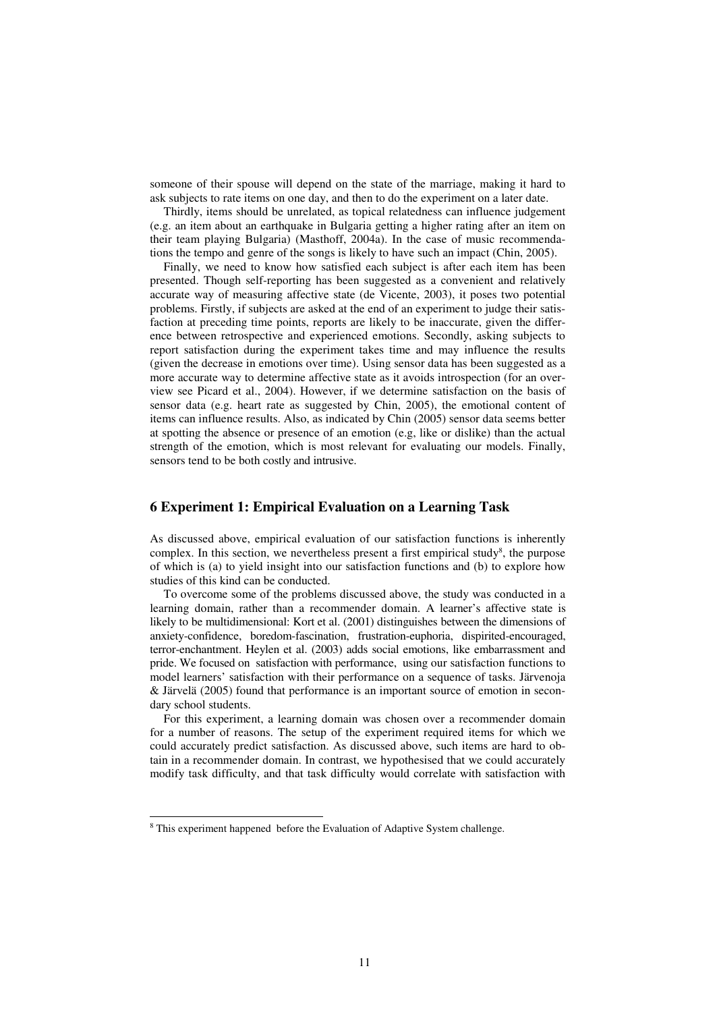someone of their spouse will depend on the state of the marriage, making it hard to ask subjects to rate items on one day, and then to do the experiment on a later date.

Thirdly, items should be unrelated, as topical relatedness can influence judgement (e.g. an item about an earthquake in Bulgaria getting a higher rating after an item on their team playing Bulgaria) (Masthoff, 2004a). In the case of music recommendations the tempo and genre of the songs is likely to have such an impact (Chin, 2005).

Finally, we need to know how satisfied each subject is after each item has been presented. Though self-reporting has been suggested as a convenient and relatively accurate way of measuring affective state (de Vicente, 2003), it poses two potential problems. Firstly, if subjects are asked at the end of an experiment to judge their satisfaction at preceding time points, reports are likely to be inaccurate, given the difference between retrospective and experienced emotions. Secondly, asking subjects to report satisfaction during the experiment takes time and may influence the results (given the decrease in emotions over time). Using sensor data has been suggested as a more accurate way to determine affective state as it avoids introspection (for an overview see Picard et al., 2004). However, if we determine satisfaction on the basis of sensor data (e.g. heart rate as suggested by Chin, 2005), the emotional content of items can influence results. Also, as indicated by Chin (2005) sensor data seems better at spotting the absence or presence of an emotion (e.g, like or dislike) than the actual strength of the emotion, which is most relevant for evaluating our models. Finally, sensors tend to be both costly and intrusive.

# **6 Experiment 1: Empirical Evaluation on a Learning Task**

As discussed above, empirical evaluation of our satisfaction functions is inherently complex. In this section, we nevertheless present a first empirical study<sup>8</sup>, the purpose of which is (a) to yield insight into our satisfaction functions and (b) to explore how studies of this kind can be conducted.

To overcome some of the problems discussed above, the study was conducted in a learning domain, rather than a recommender domain. A learner's affective state is likely to be multidimensional: Kort et al. (2001) distinguishes between the dimensions of anxiety-confidence, boredom-fascination, frustration-euphoria, dispirited-encouraged, terror-enchantment. Heylen et al. (2003) adds social emotions, like embarrassment and pride. We focused on satisfaction with performance, using our satisfaction functions to model learners' satisfaction with their performance on a sequence of tasks. Järvenoja & Järvelä (2005) found that performance is an important source of emotion in secondary school students.

For this experiment, a learning domain was chosen over a recommender domain for a number of reasons. The setup of the experiment required items for which we could accurately predict satisfaction. As discussed above, such items are hard to obtain in a recommender domain. In contrast, we hypothesised that we could accurately modify task difficulty, and that task difficulty would correlate with satisfaction with

<sup>&</sup>lt;sup>8</sup> This experiment happened before the Evaluation of Adaptive System challenge.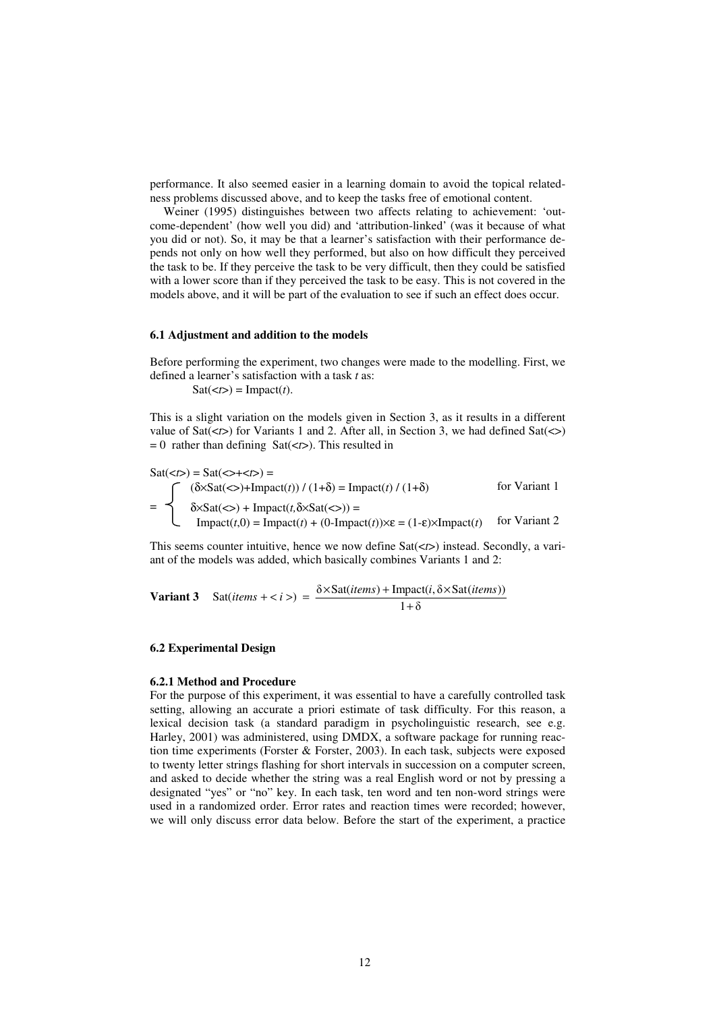performance. It also seemed easier in a learning domain to avoid the topical relatedness problems discussed above, and to keep the tasks free of emotional content.

Weiner (1995) distinguishes between two affects relating to achievement: 'outcome-dependent' (how well you did) and 'attribution-linked' (was it because of what you did or not). So, it may be that a learner's satisfaction with their performance depends not only on how well they performed, but also on how difficult they perceived the task to be. If they perceive the task to be very difficult, then they could be satisfied with a lower score than if they perceived the task to be easy. This is not covered in the models above, and it will be part of the evaluation to see if such an effect does occur.

# **6.1 Adjustment and addition to the models**

Before performing the experiment, two changes were made to the modelling. First, we defined a learner's satisfaction with a task *t* as:

 $Sat(*t*) = Impact(*t*).$ 

This is a slight variation on the models given in Section 3, as it results in a different value of Sat( $\langle t \rangle$ ) for Variants 1 and 2. After all, in Section 3, we had defined Sat( $\langle \rangle$ )  $= 0$  rather than defining Sat( $\langle t \rangle$ ). This resulted in

$$
Sat() = Sat(+\langle z \rangle) =
$$
  
\n
$$
(\delta \times Sat() + Impact(t)) / (1+\delta) = Impact(t) / (1+\delta)
$$
 for Variant 1  
\n
$$
= \begin{cases} (\delta \times Sat() + Impact(t, \delta \times Sat())) =
$$
  
\n
$$
Impact(t,0) = Impact(t) + (0-Impact(t)) \times \varepsilon = (1-\varepsilon) \times Impact(t) \quad \text{for Variant 2}
$$

This seems counter intuitive, hence we now define Sat(<*t*>) instead. Secondly, a variant of the models was added, which basically combines Variants 1 and 2:

**Variant 3** Sat(*items* + *i* >) = 
$$
\frac{\delta \times \text{Sat}(items) + \text{Import}(i, \delta \times \text{Sat}(items))}{1 + \delta}
$$

### **6.2 Experimental Design**

## **6.2.1 Method and Procedure**

For the purpose of this experiment, it was essential to have a carefully controlled task setting, allowing an accurate a priori estimate of task difficulty. For this reason, a lexical decision task (a standard paradigm in psycholinguistic research, see e.g. Harley, 2001) was administered, using DMDX, a software package for running reaction time experiments (Forster & Forster, 2003). In each task, subjects were exposed to twenty letter strings flashing for short intervals in succession on a computer screen, and asked to decide whether the string was a real English word or not by pressing a designated "yes" or "no" key. In each task, ten word and ten non-word strings were used in a randomized order. Error rates and reaction times were recorded; however, we will only discuss error data below. Before the start of the experiment, a practice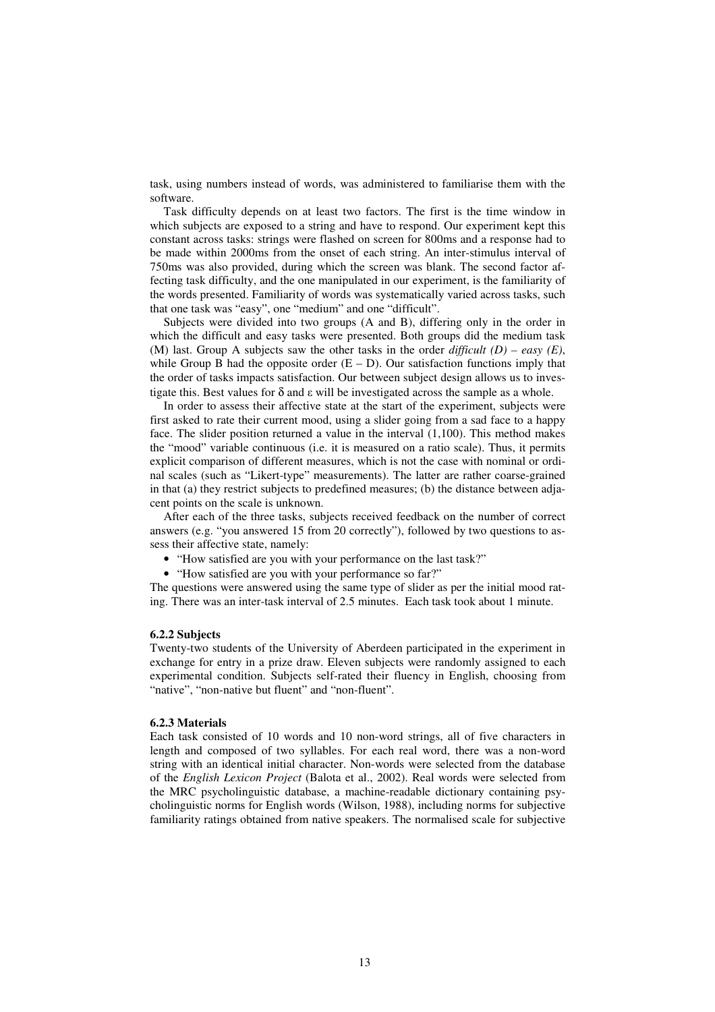task, using numbers instead of words, was administered to familiarise them with the software.

Task difficulty depends on at least two factors. The first is the time window in which subjects are exposed to a string and have to respond. Our experiment kept this constant across tasks: strings were flashed on screen for 800ms and a response had to be made within 2000ms from the onset of each string. An inter-stimulus interval of 750ms was also provided, during which the screen was blank. The second factor affecting task difficulty, and the one manipulated in our experiment, is the familiarity of the words presented. Familiarity of words was systematically varied across tasks, such that one task was "easy", one "medium" and one "difficult".

Subjects were divided into two groups (A and B), differing only in the order in which the difficult and easy tasks were presented. Both groups did the medium task (M) last. Group A subjects saw the other tasks in the order *difficult (D) – easy (E)*, while Group B had the opposite order  $(E - D)$ . Our satisfaction functions imply that the order of tasks impacts satisfaction. Our between subject design allows us to investigate this. Best values for  $\delta$  and  $\varepsilon$  will be investigated across the sample as a whole.

In order to assess their affective state at the start of the experiment, subjects were first asked to rate their current mood, using a slider going from a sad face to a happy face. The slider position returned a value in the interval (1,100). This method makes the "mood" variable continuous (i.e. it is measured on a ratio scale). Thus, it permits explicit comparison of different measures, which is not the case with nominal or ordinal scales (such as "Likert-type" measurements). The latter are rather coarse-grained in that (a) they restrict subjects to predefined measures; (b) the distance between adjacent points on the scale is unknown.

After each of the three tasks, subjects received feedback on the number of correct answers (e.g. "you answered 15 from 20 correctly"), followed by two questions to assess their affective state, namely:

- "How satisfied are you with your performance on the last task?"
- "How satisfied are you with your performance so far?"

The questions were answered using the same type of slider as per the initial mood rating. There was an inter-task interval of 2.5 minutes. Each task took about 1 minute.

#### **6.2.2 Subjects**

Twenty-two students of the University of Aberdeen participated in the experiment in exchange for entry in a prize draw. Eleven subjects were randomly assigned to each experimental condition. Subjects self-rated their fluency in English, choosing from "native", "non-native but fluent" and "non-fluent".

#### **6.2.3 Materials**

Each task consisted of 10 words and 10 non-word strings, all of five characters in length and composed of two syllables. For each real word, there was a non-word string with an identical initial character. Non-words were selected from the database of the *English Lexicon Project* (Balota et al., 2002). Real words were selected from the MRC psycholinguistic database, a machine-readable dictionary containing psycholinguistic norms for English words (Wilson, 1988), including norms for subjective familiarity ratings obtained from native speakers. The normalised scale for subjective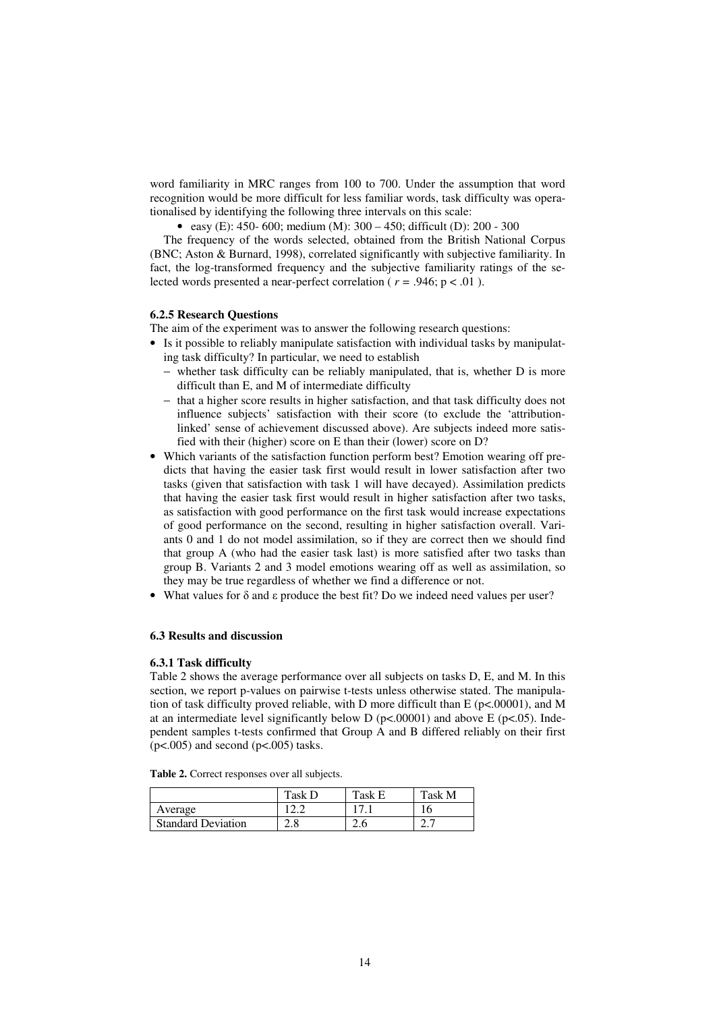word familiarity in MRC ranges from 100 to 700. Under the assumption that word recognition would be more difficult for less familiar words, task difficulty was operationalised by identifying the following three intervals on this scale:

• easy (E): 450- 600; medium (M):  $300 - 450$ ; difficult (D): 200 - 300

The frequency of the words selected, obtained from the British National Corpus (BNC; Aston & Burnard, 1998), correlated significantly with subjective familiarity. In fact, the log-transformed frequency and the subjective familiarity ratings of the selected words presented a near-perfect correlation ( *r =* .946; p < .01 ).

### **6.2.5 Research Questions**

The aim of the experiment was to answer the following research questions:

- Is it possible to reliably manipulate satisfaction with individual tasks by manipulating task difficulty? In particular, we need to establish
	- − whether task difficulty can be reliably manipulated, that is, whether D is more difficult than E, and M of intermediate difficulty
	- − that a higher score results in higher satisfaction, and that task difficulty does not influence subjects' satisfaction with their score (to exclude the 'attributionlinked' sense of achievement discussed above). Are subjects indeed more satisfied with their (higher) score on E than their (lower) score on D?
- Which variants of the satisfaction function perform best? Emotion wearing off predicts that having the easier task first would result in lower satisfaction after two tasks (given that satisfaction with task 1 will have decayed). Assimilation predicts that having the easier task first would result in higher satisfaction after two tasks, as satisfaction with good performance on the first task would increase expectations of good performance on the second, resulting in higher satisfaction overall. Variants 0 and 1 do not model assimilation, so if they are correct then we should find that group A (who had the easier task last) is more satisfied after two tasks than group B. Variants 2 and 3 model emotions wearing off as well as assimilation, so they may be true regardless of whether we find a difference or not.
- What values for  $\delta$  and  $\epsilon$  produce the best fit? Do we indeed need values per user?

### **6.3 Results and discussion**

#### **6.3.1 Task difficulty**

Table 2 shows the average performance over all subjects on tasks D, E, and M. In this section, we report p-values on pairwise t-tests unless otherwise stated. The manipulation of task difficulty proved reliable, with D more difficult than  $E(p<.00001)$ , and M at an intermediate level significantly below D ( $p\lt 00001$ ) and above E ( $p\lt 0.05$ ). Independent samples t-tests confirmed that Group A and B differed reliably on their first  $(p<.005)$  and second  $(p<.005)$  tasks.

|                           | Task D | Task E | <b>Task M</b> |
|---------------------------|--------|--------|---------------|
|                           |        |        |               |
| Average                   |        |        |               |
| <b>Standard Deviation</b> | ۵.۵    | $\sim$ |               |

**Table 2.** Correct responses over all subjects.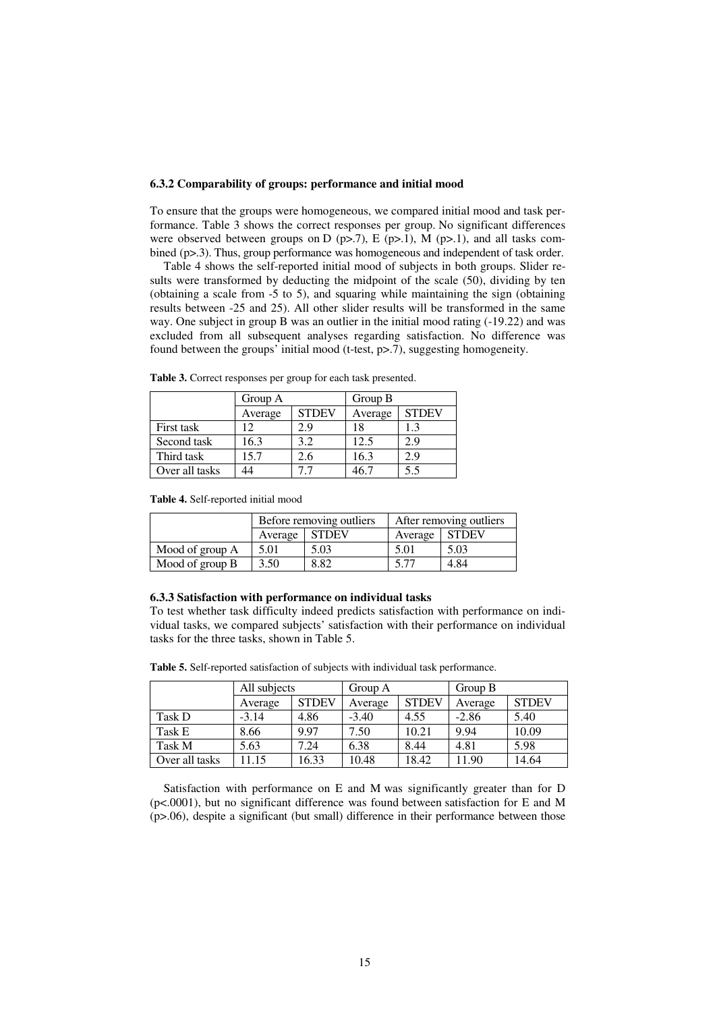### **6.3.2 Comparability of groups: performance and initial mood**

To ensure that the groups were homogeneous, we compared initial mood and task performance. Table 3 shows the correct responses per group. No significant differences were observed between groups on D (p>.7), E (p>.1), M (p>.1), and all tasks combined (p>.3). Thus, group performance was homogeneous and independent of task order.

Table 4 shows the self-reported initial mood of subjects in both groups. Slider results were transformed by deducting the midpoint of the scale (50), dividing by ten (obtaining a scale from -5 to 5), and squaring while maintaining the sign (obtaining results between -25 and 25). All other slider results will be transformed in the same way. One subject in group B was an outlier in the initial mood rating (-19.22) and was excluded from all subsequent analyses regarding satisfaction. No difference was found between the groups' initial mood (t-test, p>.7), suggesting homogeneity.

|                | Group A |              | Group B |              |
|----------------|---------|--------------|---------|--------------|
|                | Average | <b>STDEV</b> | Average | <b>STDEV</b> |
| First task     | 12      | 2.9          | 18      | 1.3          |
| Second task    | 16.3    | 3.2          | 12.5    | 2.9          |
| Third task     | 15.7    | 2.6          | 16.3    | 2.9          |
| Over all tasks | 14      | 77           | 46.7    | 5.5          |

**Table 3.** Correct responses per group for each task presented.

**Table 4.** Self-reported initial mood

|                 |         | Before removing outliers | After removing outliers |              |  |
|-----------------|---------|--------------------------|-------------------------|--------------|--|
|                 | Average | <b>STDEV</b>             | Average                 | <b>STDEV</b> |  |
| Mood of group A | 5.01    | 5.03                     | 5.01                    | 5.03         |  |
| Mood of group B | 3.50    | 8.82                     |                         | 4.84         |  |

# **6.3.3 Satisfaction with performance on individual tasks**

To test whether task difficulty indeed predicts satisfaction with performance on individual tasks, we compared subjects' satisfaction with their performance on individual tasks for the three tasks, shown in Table 5.

|                | All subjects |              | Group A |              | Group B |              |
|----------------|--------------|--------------|---------|--------------|---------|--------------|
|                | Average      | <b>STDEV</b> | Average | <b>STDEV</b> | Average | <b>STDEV</b> |
| Task D         | $-3.14$      | 4.86         | $-3.40$ | 4.55         | $-2.86$ | 5.40         |
| Task E         | 8.66         | 9.97         | 7.50    | 10.21        | 9.94    | 10.09        |
| Task M         | 5.63         | 7.24         | 6.38    | 8.44         | 4.81    | 5.98         |
| Over all tasks | 1.15         | 16.33        | 10.48   | 18.42        | 11.90   | 14.64        |

Satisfaction with performance on E and M was significantly greater than for D  $(p<.0001)$ , but no significant difference was found between satisfaction for E and M (p>.06), despite a significant (but small) difference in their performance between those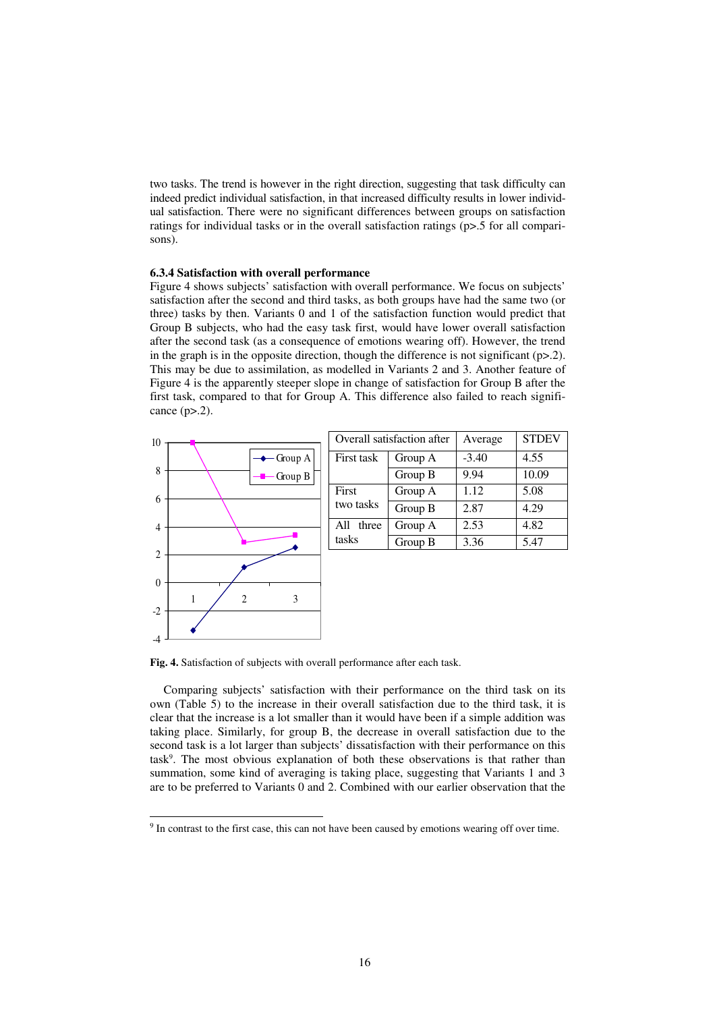two tasks. The trend is however in the right direction, suggesting that task difficulty can indeed predict individual satisfaction, in that increased difficulty results in lower individual satisfaction. There were no significant differences between groups on satisfaction ratings for individual tasks or in the overall satisfaction ratings (p>.5 for all comparisons).

#### **6.3.4 Satisfaction with overall performance**

Figure 4 shows subjects' satisfaction with overall performance. We focus on subjects' satisfaction after the second and third tasks, as both groups have had the same two (or three) tasks by then. Variants 0 and 1 of the satisfaction function would predict that Group B subjects, who had the easy task first, would have lower overall satisfaction after the second task (as a consequence of emotions wearing off). However, the trend in the graph is in the opposite direction, though the difference is not significant  $(p>2)$ . This may be due to assimilation, as modelled in Variants 2 and 3. Another feature of Figure 4 is the apparently steeper slope in change of satisfaction for Group B after the first task, compared to that for Group A. This difference also failed to reach significance  $(p>0.2)$ .



l

|              | Overall satisfaction after | Average | <b>STDEV</b> |
|--------------|----------------------------|---------|--------------|
| First task   | Group A                    | $-3.40$ | 4.55         |
| Group B      |                            | 9.94    | 10.09        |
| First        | Group A                    | 1.12    | 5.08         |
| two tasks    | Group B                    | 2.87    | 4.29         |
| All<br>three | Group A                    | 2.53    | 4.82         |
| tasks        | Group B                    | 3.36    | 5.47         |

**Fig. 4.** Satisfaction of subjects with overall performance after each task.

Comparing subjects' satisfaction with their performance on the third task on its own (Table 5) to the increase in their overall satisfaction due to the third task, it is clear that the increase is a lot smaller than it would have been if a simple addition was taking place. Similarly, for group B, the decrease in overall satisfaction due to the second task is a lot larger than subjects' dissatisfaction with their performance on this task<sup>9</sup> . The most obvious explanation of both these observations is that rather than summation, some kind of averaging is taking place, suggesting that Variants 1 and 3 are to be preferred to Variants 0 and 2. Combined with our earlier observation that the

<sup>&</sup>lt;sup>9</sup> In contrast to the first case, this can not have been caused by emotions wearing off over time.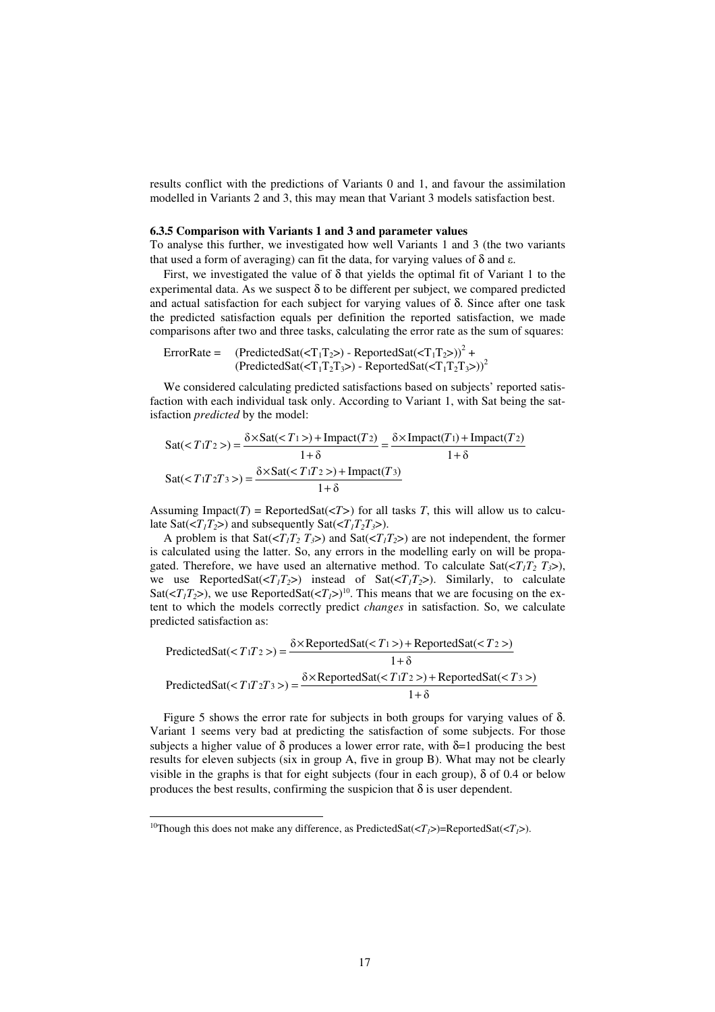results conflict with the predictions of Variants 0 and 1, and favour the assimilation modelled in Variants 2 and 3, this may mean that Variant 3 models satisfaction best.

#### **6.3.5 Comparison with Variants 1 and 3 and parameter values**

To analyse this further, we investigated how well Variants 1 and 3 (the two variants that used a form of averaging) can fit the data, for varying values of  $\delta$  and  $\varepsilon$ .

First, we investigated the value of δ that yields the optimal fit of Variant 1 to the experimental data. As we suspect δ to be different per subject, we compared predicted and actual satisfaction for each subject for varying values of  $\delta$ . Since after one task the predicted satisfaction equals per definition the reported satisfaction, we made comparisons after two and three tasks, calculating the error rate as the sum of squares:

ErrorRate = (PredictedSat(
$$
\langle T_1T_2\rangle)
$$
 - ReportedSat( $\langle T_1T_2\rangle$ ))<sup>2</sup> +  
(PredictedSat( $\langle T_1T_2T_3\rangle$ ) - ReportedSat( $\langle T_1T_2T_3\rangle$ )<sup>2</sup>

We considered calculating predicted satisfactions based on subjects' reported satisfaction with each individual task only. According to Variant 1, with Sat being the satisfaction *predicted* by the model:

$$
Sat(T1T2) = \frac{\delta \times Sat(T1) + Impact(T2)}{1 + \delta} = \frac{\delta \times Impact(T1) + Impact(T2)}{1 + \delta}
$$
  

$$
Sat(T1T2T3) = \frac{\delta \times Sat(T1T2) + Impact(T3)}{1 + \delta}
$$

Assuming Impact( $T$ ) = ReportedSat( $(T$ ) for all tasks  $T$ , this will allow us to calculate Sat( $\langle T_1 T_2 \rangle$ ) and subsequently Sat( $\langle T_1 T_2 T_3 \rangle$ ).

A problem is that  $Sat(*T<sub>1</sub>T<sub>2</sub>T<sub>3</sub>*)$  and  $Sat(*T<sub>1</sub>T<sub>2</sub>*)$  are not independent, the former is calculated using the latter. So, any errors in the modelling early on will be propagated. Therefore, we have used an alternative method. To calculate Sat( $\langle T_1 T_2 T_3 \rangle$ ), we use ReportedSat( $\langle T_1 T_2 \rangle$ ) instead of Sat( $\langle T_1 T_2 \rangle$ ). Similarly, to calculate Sat( $\langle T_1 T_2 \rangle$ ), we use ReportedSat( $\langle T_1 \rangle$ <sup>10</sup>. This means that we are focusing on the extent to which the models correctly predict *changes* in satisfaction. So, we calculate predicted satisfaction as:

PredictedSat(<7:T<sub>T</sub>2>) = 
$$
\frac{\delta \times \text{ReprotectedSat}(\langle T_1 \rangle) + \text{ReprotectedSat}(\langle T_2 \rangle)}{1 + \delta}
$$
  
\nPredictedSat(<7:T<sub>T</sub>2T<sub>3</sub>) =  $\frac{\delta \times \text{ReprotectedSat}(\langle T_1T_2 \rangle) + \text{ReprotectedSat}(\langle T_3 \rangle)}{1 + \delta}$ 

Figure 5 shows the error rate for subjects in both groups for varying values of  $\delta$ . Variant 1 seems very bad at predicting the satisfaction of some subjects. For those subjects a higher value of  $\delta$  produces a lower error rate, with  $\delta=1$  producing the best results for eleven subjects (six in group A, five in group B). What may not be clearly visible in the graphs is that for eight subjects (four in each group),  $\delta$  of 0.4 or below produces the best results, confirming the suspicion that  $\delta$  is user dependent.

<sup>&</sup>lt;sup>10</sup>Though this does not make any difference, as PredictedSat( $(T<sub>1</sub>)$ )=ReportedSat( $(T<sub>1</sub>)$ ).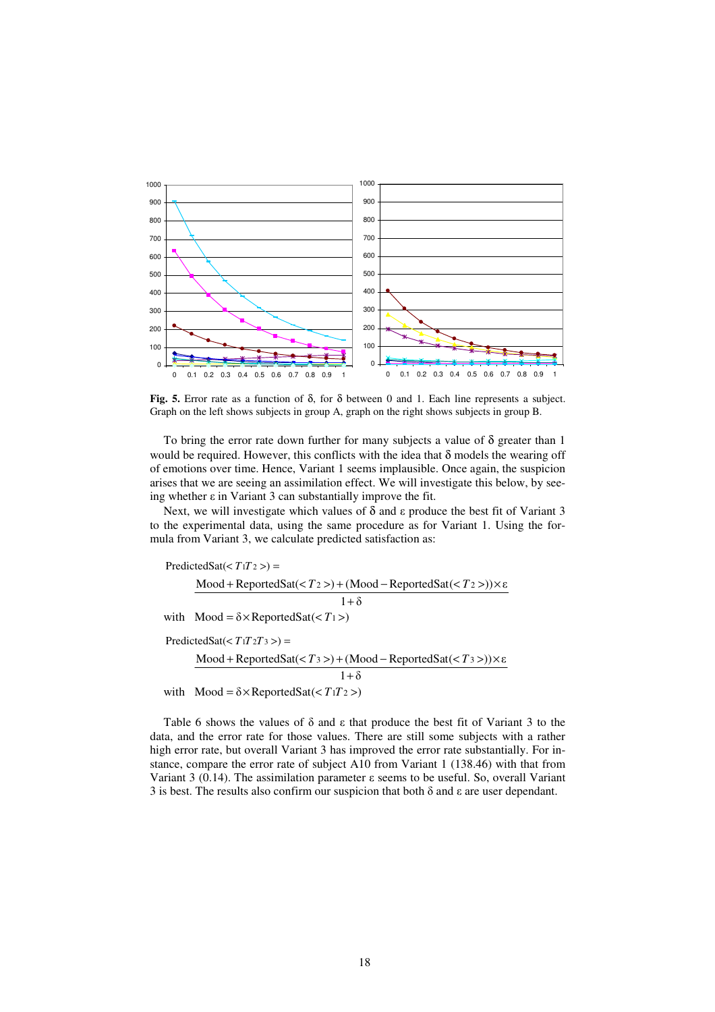

**Fig. 5.** Error rate as a function of δ, for δ between 0 and 1. Each line represents a subject. Graph on the left shows subjects in group A, graph on the right shows subjects in group B.

To bring the error rate down further for many subjects a value of  $\delta$  greater than 1 would be required. However, this conflicts with the idea that  $\delta$  models the wearing off of emotions over time. Hence, Variant 1 seems implausible. Once again, the suspicion arises that we are seeing an assimilation effect. We will investigate this below, by seeing whether  $ε$  in Variant 3 can substantially improve the fit.

Next, we will investigate which values of  $\delta$  and  $\varepsilon$  produce the best fit of Variant 3 to the experimental data, using the same procedure as for Variant 1. Using the formula from Variant 3, we calculate predicted satisfaction as:

PredictedSat( $(T1T2)$ ) =

 $1+\delta$  $\text{Mod} + \text{ReportedSat}(<sub>T2</sub>) + (\text{Mod} - \text{ReportedSat}(<sub>T2</sub>)) \times \varepsilon$ with  $\text{Mod} = \delta \times \text{ReportedSat}(\langle T_1 \rangle)$  $PredictedSat(*T*<sub>1</sub>*T*<sub>2</sub>*T*<sub>3</sub>) =$  $1+\delta$  $\text{Mod} + \text{ReportedSat}(*T*3>) + (\text{Mod} - \text{ReportedSat}(*T*3)) \times \varepsilon$ with  $Mod = \delta \times ReportedSat(< 71T2>)$ 

Table 6 shows the values of δ and ε that produce the best fit of Variant 3 to the data, and the error rate for those values. There are still some subjects with a rather high error rate, but overall Variant 3 has improved the error rate substantially. For instance, compare the error rate of subject A10 from Variant 1 (138.46) with that from Variant 3 (0.14). The assimilation parameter  $ε$  seems to be useful. So, overall Variant 3 is best. The results also confirm our suspicion that both  $\delta$  and  $\varepsilon$  are user dependant.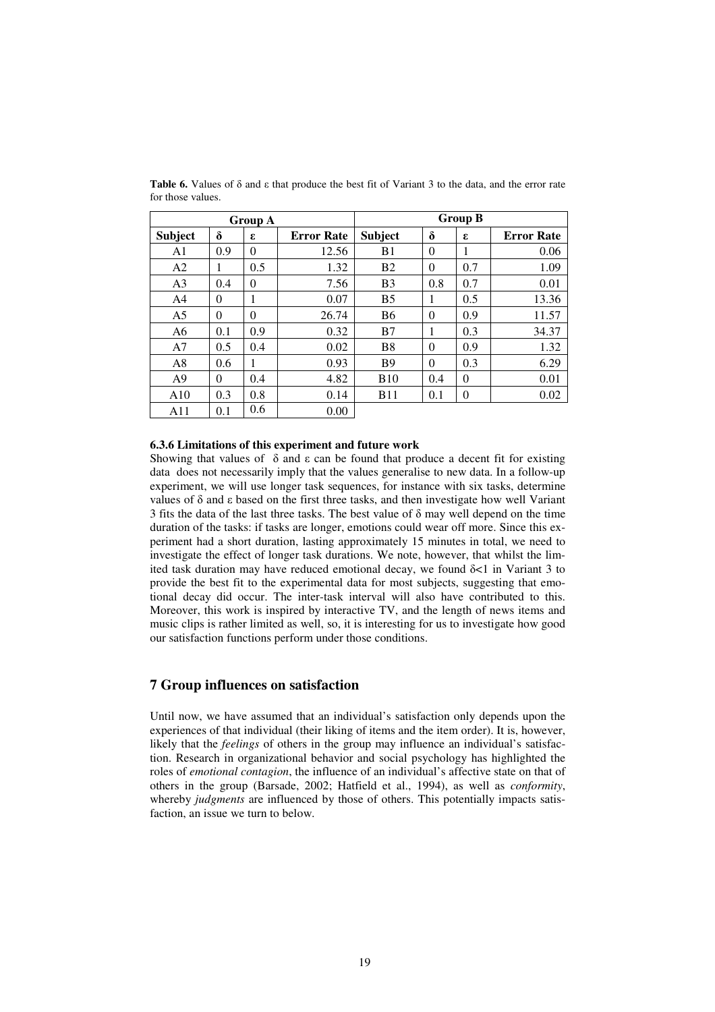| <b>Group A</b> |          |          |                   | <b>Group B</b> |          |          |                   |
|----------------|----------|----------|-------------------|----------------|----------|----------|-------------------|
| <b>Subject</b> | δ        | ε        | <b>Error Rate</b> | <b>Subject</b> | $\delta$ | ε        | <b>Error Rate</b> |
| A <sub>1</sub> | 0.9      | $\theta$ | 12.56             | B <sub>1</sub> | $\Omega$ | 1        | 0.06              |
| A <sub>2</sub> | 1        | 0.5      | 1.32              | B <sub>2</sub> | $\Omega$ | 0.7      | 1.09              |
| A <sub>3</sub> | 0.4      | $\theta$ | 7.56              | B <sub>3</sub> | 0.8      | 0.7      | 0.01              |
| A4             | $\theta$ | 1        | 0.07              | B <sub>5</sub> | 1        | 0.5      | 13.36             |
| A <sub>5</sub> | $\theta$ | $\theta$ | 26.74             | <b>B6</b>      | $\Omega$ | 0.9      | 11.57             |
| A6             | 0.1      | 0.9      | 0.32              | B7             | 1        | 0.3      | 34.37             |
| A7             | 0.5      | 0.4      | 0.02              | B8             | $\Omega$ | 0.9      | 1.32              |
| A8             | 0.6      | 1        | 0.93              | <b>B</b> 9     | $\Omega$ | 0.3      | 6.29              |
| A <sup>9</sup> | 0        | 0.4      | 4.82              | <b>B10</b>     | 0.4      | $\Omega$ | 0.01              |
| A10            | 0.3      | 0.8      | 0.14              | <b>B11</b>     | 0.1      | $\Omega$ | 0.02              |
| A11            | 0.1      | 0.6      | 0.00              |                |          |          |                   |

**Table 6.** Values of δ and ε that produce the best fit of Variant 3 to the data, and the error rate for those values.

### **6.3.6 Limitations of this experiment and future work**

Showing that values of  $\delta$  and  $\varepsilon$  can be found that produce a decent fit for existing data does not necessarily imply that the values generalise to new data. In a follow-up experiment, we will use longer task sequences, for instance with six tasks, determine values of δ and ε based on the first three tasks, and then investigate how well Variant 3 fits the data of the last three tasks. The best value of  $\delta$  may well depend on the time duration of the tasks: if tasks are longer, emotions could wear off more. Since this experiment had a short duration, lasting approximately 15 minutes in total, we need to investigate the effect of longer task durations. We note, however, that whilst the limited task duration may have reduced emotional decay, we found  $\delta$ <1 in Variant 3 to provide the best fit to the experimental data for most subjects, suggesting that emotional decay did occur. The inter-task interval will also have contributed to this. Moreover, this work is inspired by interactive TV, and the length of news items and music clips is rather limited as well, so, it is interesting for us to investigate how good our satisfaction functions perform under those conditions.

# **7 Group influences on satisfaction**

Until now, we have assumed that an individual's satisfaction only depends upon the experiences of that individual (their liking of items and the item order). It is, however, likely that the *feelings* of others in the group may influence an individual's satisfaction. Research in organizational behavior and social psychology has highlighted the roles of *emotional contagion*, the influence of an individual's affective state on that of others in the group (Barsade, 2002; Hatfield et al., 1994), as well as *conformity*, whereby *judgments* are influenced by those of others. This potentially impacts satisfaction, an issue we turn to below.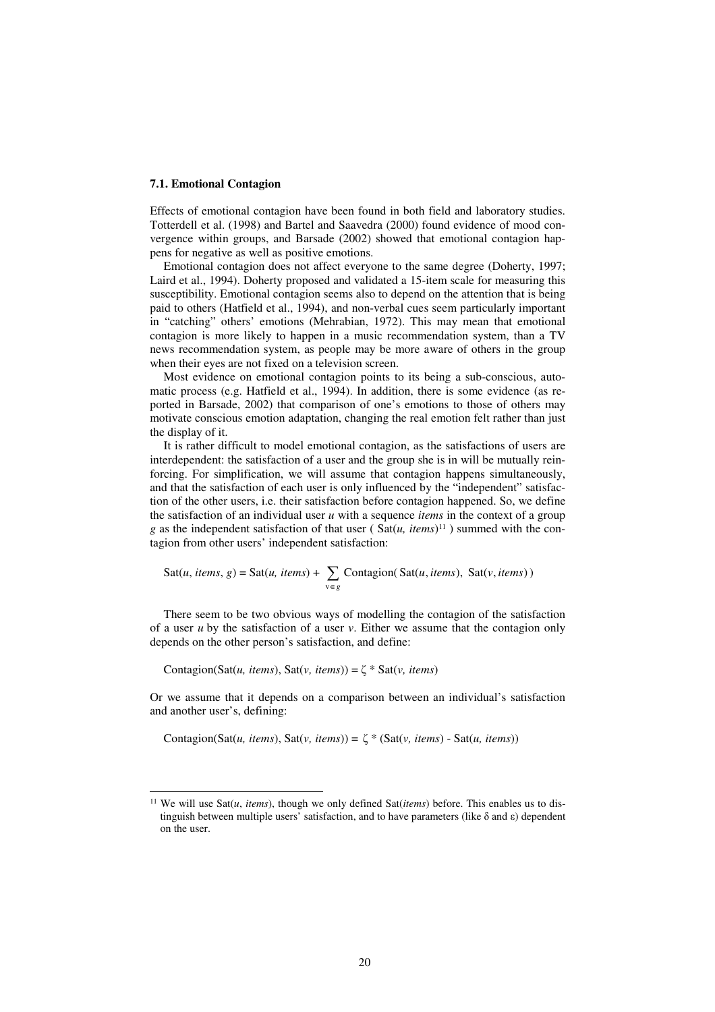#### **7.1. Emotional Contagion**

Effects of emotional contagion have been found in both field and laboratory studies. Totterdell et al. (1998) and Bartel and Saavedra (2000) found evidence of mood convergence within groups, and Barsade (2002) showed that emotional contagion happens for negative as well as positive emotions.

Emotional contagion does not affect everyone to the same degree (Doherty, 1997; Laird et al., 1994). Doherty proposed and validated a 15-item scale for measuring this susceptibility. Emotional contagion seems also to depend on the attention that is being paid to others (Hatfield et al., 1994), and non-verbal cues seem particularly important in "catching" others' emotions (Mehrabian, 1972). This may mean that emotional contagion is more likely to happen in a music recommendation system, than a TV news recommendation system, as people may be more aware of others in the group when their eyes are not fixed on a television screen.

Most evidence on emotional contagion points to its being a sub-conscious, automatic process (e.g. Hatfield et al., 1994). In addition, there is some evidence (as reported in Barsade, 2002) that comparison of one's emotions to those of others may motivate conscious emotion adaptation, changing the real emotion felt rather than just the display of it.

It is rather difficult to model emotional contagion, as the satisfactions of users are interdependent: the satisfaction of a user and the group she is in will be mutually reinforcing. For simplification, we will assume that contagion happens simultaneously, and that the satisfaction of each user is only influenced by the "independent" satisfaction of the other users, i.e. their satisfaction before contagion happened. So, we define the satisfaction of an individual user *u* with a sequence *items* in the context of a group *g* as the independent satisfaction of that user (Sat(*u*, *items*)<sup>11</sup>) summed with the contagion from other users' independent satisfaction:

Sat(*u*, *items*, *g*) = Sat(*u*, *items*) + 
$$
\sum_{v \in g}
$$
 Contagion(Sat(*u*, *items*), Sat(*v*, *items*))

There seem to be two obvious ways of modelling the contagion of the satisfaction of a user *u* by the satisfaction of a user *v*. Either we assume that the contagion only depends on the other person's satisfaction, and define:

Contagion(Sat(*u, items*), Sat(*v, items*)) =  $\zeta$  \* Sat(*v, items*)

l

Or we assume that it depends on a comparison between an individual's satisfaction and another user's, defining:

Contagion(Sat(*u, items*), Sat(*v, items*)) =  $\zeta$  \* (Sat(*v, items*) - Sat(*u, items*))

<sup>&</sup>lt;sup>11</sup> We will use Sat(*u*, *items*), though we only defined Sat(*items*) before. This enables us to distinguish between multiple users' satisfaction, and to have parameters (like  $\delta$  and  $\varepsilon$ ) dependent on the user.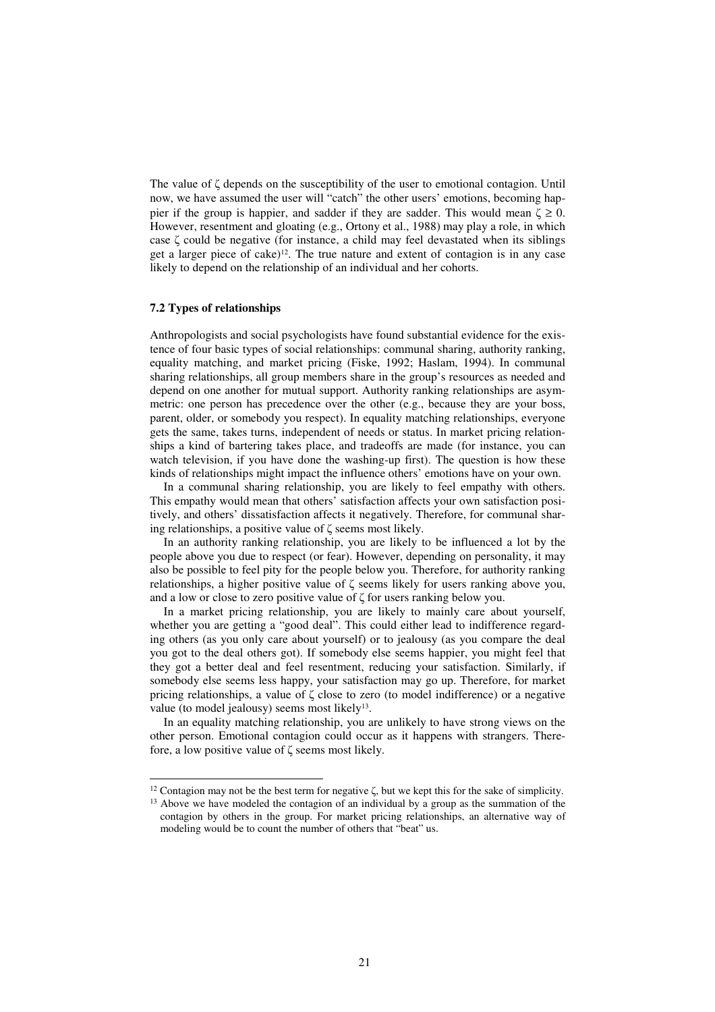The value of ζ depends on the susceptibility of the user to emotional contagion. Until now, we have assumed the user will "catch" the other users' emotions, becoming happier if the group is happier, and sadder if they are sadder. This would mean  $\zeta \ge 0$ . However, resentment and gloating (e.g., Ortony et al., 1988) may play a role, in which case  $\zeta$  could be negative (for instance, a child may feel devastated when its siblings get a larger piece of cake)<sup>12</sup>. The true nature and extent of contagion is in any case likely to depend on the relationship of an individual and her cohorts.

### **7.2 Types of relationships**

l

Anthropologists and social psychologists have found substantial evidence for the existence of four basic types of social relationships: communal sharing, authority ranking, equality matching, and market pricing (Fiske, 1992; Haslam, 1994). In communal sharing relationships, all group members share in the group's resources as needed and depend on one another for mutual support. Authority ranking relationships are asymmetric: one person has precedence over the other (e.g., because they are your boss, parent, older, or somebody you respect). In equality matching relationships, everyone gets the same, takes turns, independent of needs or status. In market pricing relationships a kind of bartering takes place, and tradeoffs are made (for instance, you can watch television, if you have done the washing-up first). The question is how these kinds of relationships might impact the influence others' emotions have on your own.

In a communal sharing relationship, you are likely to feel empathy with others. This empathy would mean that others' satisfaction affects your own satisfaction positively, and others' dissatisfaction affects it negatively. Therefore, for communal sharing relationships, a positive value of ζ seems most likely.

In an authority ranking relationship, you are likely to be influenced a lot by the people above you due to respect (or fear). However, depending on personality, it may also be possible to feel pity for the people below you. Therefore, for authority ranking relationships, a higher positive value of ζ seems likely for users ranking above you, and a low or close to zero positive value of ζ for users ranking below you.

In a market pricing relationship, you are likely to mainly care about yourself, whether you are getting a "good deal". This could either lead to indifference regarding others (as you only care about yourself) or to jealousy (as you compare the deal you got to the deal others got). If somebody else seems happier, you might feel that they got a better deal and feel resentment, reducing your satisfaction. Similarly, if somebody else seems less happy, your satisfaction may go up. Therefore, for market pricing relationships, a value of ζ close to zero (to model indifference) or a negative value (to model jealousy) seems most likely<sup>13</sup>.

In an equality matching relationship, you are unlikely to have strong views on the other person. Emotional contagion could occur as it happens with strangers. Therefore, a low positive value of ζ seems most likely.

<sup>&</sup>lt;sup>12</sup> Contagion may not be the best term for negative ζ, but we kept this for the sake of simplicity.

<sup>&</sup>lt;sup>13</sup> Above we have modeled the contagion of an individual by a group as the summation of the contagion by others in the group. For market pricing relationships, an alternative way of modeling would be to count the number of others that "beat" us.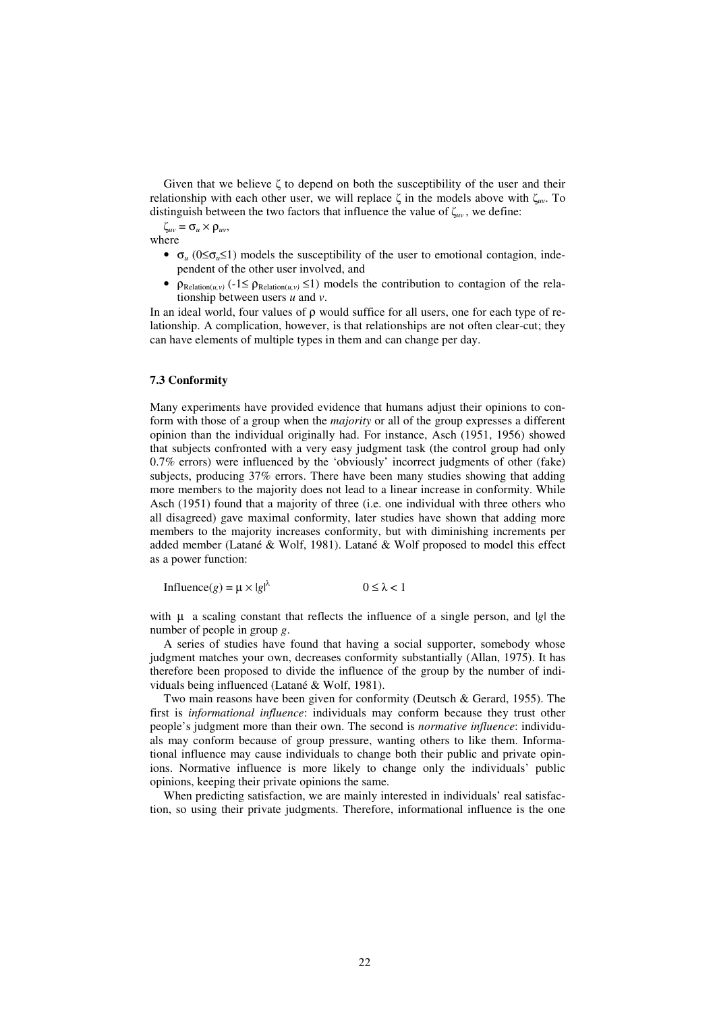Given that we believe  $\zeta$  to depend on both the susceptibility of the user and their relationship with each other user, we will replace ζ in the models above with ζ*uv*. To distinguish between the two factors that influence the value of ζ*uv* , we define:

ζ*uv* = σ*<sup>u</sup>* × ρ*uv*, where

- $\sigma_u$  ( $0 \le \sigma_u \le 1$ ) models the susceptibility of the user to emotional contagion, independent of the other user involved, and
- $\rho_{\text{Relation}(u, v)}$  (-1≤  $\rho_{\text{Relation}(u, v)}$  ≤1) models the contribution to contagion of the relationship between users *u* and *v*.

In an ideal world, four values of  $\rho$  would suffice for all users, one for each type of relationship. A complication, however, is that relationships are not often clear-cut; they can have elements of multiple types in them and can change per day.

### **7.3 Conformity**

Many experiments have provided evidence that humans adjust their opinions to conform with those of a group when the *majority* or all of the group expresses a different opinion than the individual originally had. For instance, Asch (1951, 1956) showed that subjects confronted with a very easy judgment task (the control group had only 0.7% errors) were influenced by the 'obviously' incorrect judgments of other (fake) subjects, producing 37% errors. There have been many studies showing that adding more members to the majority does not lead to a linear increase in conformity. While Asch (1951) found that a majority of three (i.e. one individual with three others who all disagreed) gave maximal conformity, later studies have shown that adding more members to the majority increases conformity, but with diminishing increments per added member (Latané & Wolf, 1981). Latané & Wolf proposed to model this effect as a power function:

$$
Influence(g) = \mu \times |g|^\lambda \qquad 0 \le \lambda < 1
$$

with  $\mu$  a scaling constant that reflects the influence of a single person, and |*g*| the number of people in group *g*.

A series of studies have found that having a social supporter, somebody whose judgment matches your own, decreases conformity substantially (Allan, 1975). It has therefore been proposed to divide the influence of the group by the number of individuals being influenced (Latané & Wolf, 1981).

Two main reasons have been given for conformity (Deutsch & Gerard, 1955). The first is *informational influence*: individuals may conform because they trust other people's judgment more than their own. The second is *normative influence*: individuals may conform because of group pressure, wanting others to like them. Informational influence may cause individuals to change both their public and private opinions. Normative influence is more likely to change only the individuals' public opinions, keeping their private opinions the same.

When predicting satisfaction, we are mainly interested in individuals' real satisfaction, so using their private judgments. Therefore, informational influence is the one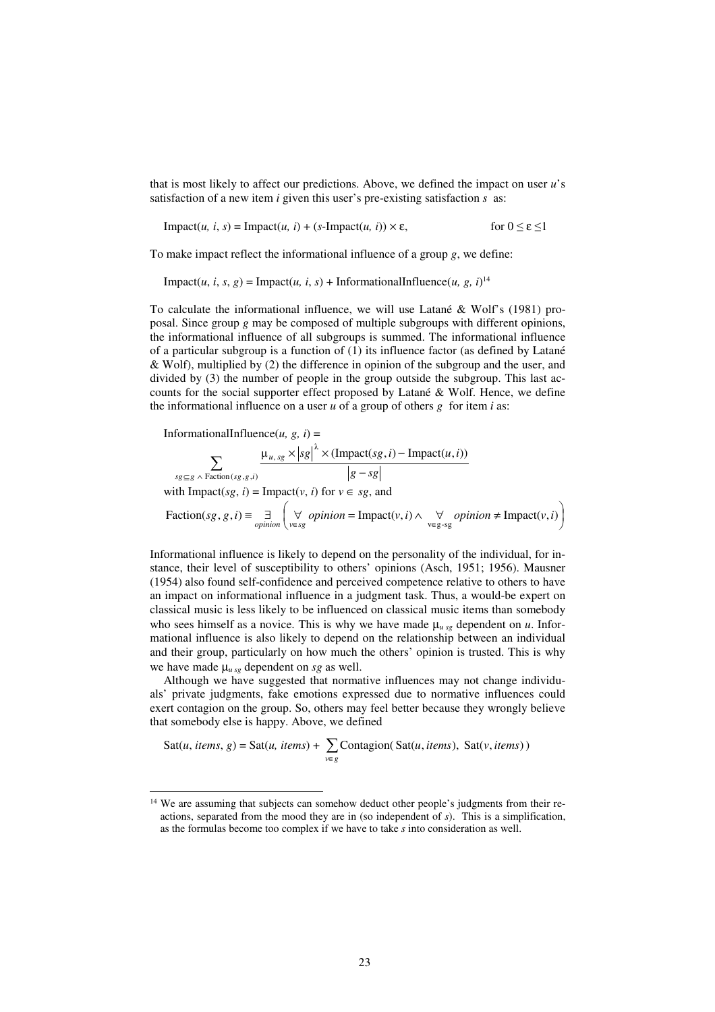that is most likely to affect our predictions. Above, we defined the impact on user *u*'s satisfaction of a new item *i* given this user's pre-existing satisfaction *s* as:

Impact(*u*, *i*, *s*) = Impact(*u*, *i*) + (*s*-Impact(*u*, *i*)) ×  $\varepsilon$ , for  $0 \le \varepsilon \le 1$ 

To make impact reflect the informational influence of a group *g*, we define:

 $\text{Image}(u, i, s, g) = \text{Image}(u, i, s) + \text{InformationalInfluence}(u, g, i)^{14}$ 

To calculate the informational influence, we will use Latané & Wolf's (1981) proposal. Since group *g* may be composed of multiple subgroups with different opinions, the informational influence of all subgroups is summed. The informational influence of a particular subgroup is a function of (1) its influence factor (as defined by Latané  $&$  Wolf), multiplied by (2) the difference in opinion of the subgroup and the user, and divided by (3) the number of people in the group outside the subgroup. This last accounts for the social supporter effect proposed by Latané & Wolf. Hence, we define the informational influence on a user  $u$  of a group of others  $g$  for item  $i$  as:

InformationalInfluence $(u, g, i)$ 

l

 ∑  $\subseteq g \land \text{Factor}(sg, g, i)$   $|g \times$  |sg|^  $\times$  (Impact(sg, i) – Faction  $(sg, g, i)$  $\mu_{u, sg} \times |sg|^\lambda \times ( \text{Import}(sg, i) - \text{Import}(u, i))$  $sg \subseteq g \land$  Faction  $(sg, g, i)$ *u sg*  $g - sg$  $|s g|$ <sup>"</sup>  $\times$  (Impact(sg, i) – Impact(u, i with Impact(*sg*, *i*) = Impact(*v*, *i*) for  $v \in sg$ , and

$$
Factor(sg, g, i) = \exists \bigotimes_{opinion} \left( \bigvee_{v \in sg} opinion = Impact(v, i) \land \bigvee_{v \in g \text{-}sg} opinion \neq Impact(v, i) \right)
$$

Informational influence is likely to depend on the personality of the individual, for instance, their level of susceptibility to others' opinions (Asch, 1951; 1956). Mausner (1954) also found self-confidence and perceived competence relative to others to have an impact on informational influence in a judgment task. Thus, a would-be expert on classical music is less likely to be influenced on classical music items than somebody who sees himself as a novice. This is why we have made  $\mu_{u}$  sg dependent on *u*. Informational influence is also likely to depend on the relationship between an individual and their group, particularly on how much the others' opinion is trusted. This is why we have made  $\mu_{u,so}$  dependent on *sg* as well.

Although we have suggested that normative influences may not change individuals' private judgments, fake emotions expressed due to normative influences could exert contagion on the group. So, others may feel better because they wrongly believe that somebody else is happy. Above, we defined

 $Sat(u, items, g) = Sat(u, items) + \sum$ *v*∈*g* Contagion( Sat(*u* , *items* ), Sat(*v* , *items* ))

<sup>&</sup>lt;sup>14</sup> We are assuming that subjects can somehow deduct other people's judgments from their reactions, separated from the mood they are in (so independent of *s*). This is a simplification, as the formulas become too complex if we have to take *s* into consideration as well.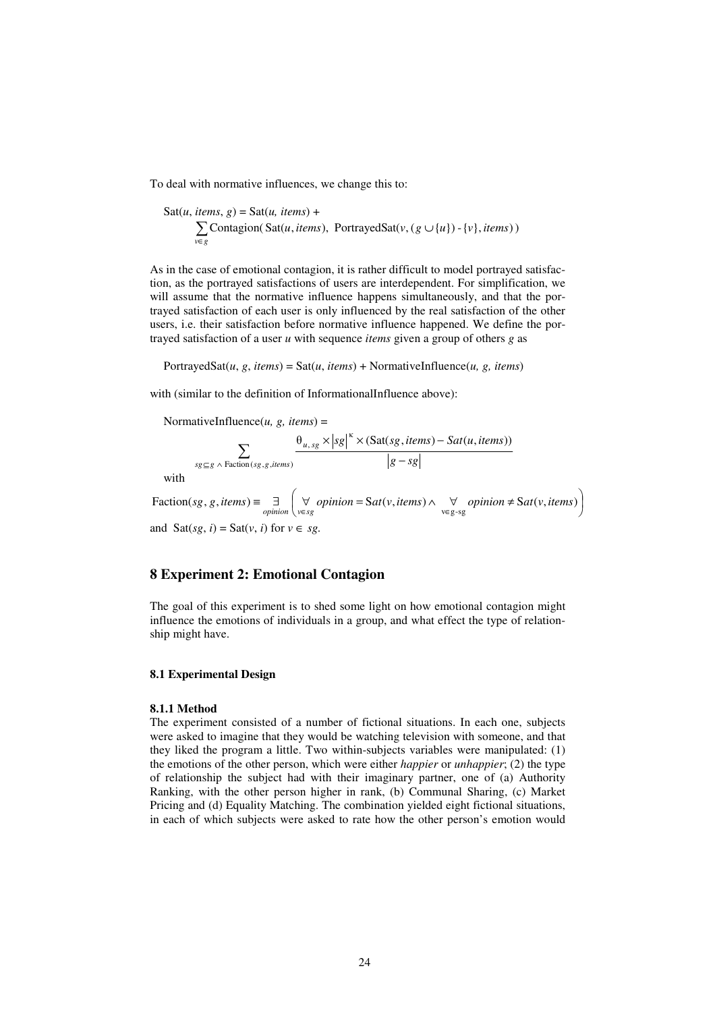To deal with normative influences, we change this to:

Sat(*u*, *items*, *g*) = Sat(*u*, *items*) +  
\n
$$
\sum_{v \in g} \text{Contagion}(\text{Sat}(u, items), \text{PortrayedSat}(v, (g \cup \{u\}) - \{v\}, items))
$$

As in the case of emotional contagion, it is rather difficult to model portrayed satisfaction, as the portrayed satisfactions of users are interdependent. For simplification, we will assume that the normative influence happens simultaneously, and that the portrayed satisfaction of each user is only influenced by the real satisfaction of the other users, i.e. their satisfaction before normative influence happened. We define the portrayed satisfaction of a user *u* with sequence *items* given a group of others *g* as

PortrayedSat( $u$ ,  $g$ , *items*) = Sat( $u$ , *items*) + NormativeInfluence( $u$ ,  $g$ , *items*)

with (similar to the definition of InformationalInfluence above):

NormativeInfluence(*u, g, items*) =

$$
\sum_{sg \subseteq g \land \text{Factor}(sg, g, items)} \frac{\theta_{u, sg} \times |sg|^\kappa \times (\text{Sat}(sg, items) - \text{Sat}(u, items))}{|g - sg|}
$$

with

 $\int$  $\left(\bigvee_{v \in sg} opinion = Sat(v, items) \land \bigvee_{v \in g \text{-}sg} opinion \neq Sat(v, items)\right)$  $Factor(sg, g, items) \equiv \exists_{\text{opinion}} \left( \forall_{v \in sg} \text{opinion} = \text{Sat}(v, items) \land \forall_{v \in g \text{-}sg} \text{opinion} \neq \text{Sat}(v, items) \right)$ and  $\text{Sat}(sg, i) = \text{Sat}(v, i)$  for  $v \in sg$ .

# **8 Experiment 2: Emotional Contagion**

The goal of this experiment is to shed some light on how emotional contagion might influence the emotions of individuals in a group, and what effect the type of relationship might have.

#### **8.1 Experimental Design**

### **8.1.1 Method**

The experiment consisted of a number of fictional situations. In each one, subjects were asked to imagine that they would be watching television with someone, and that they liked the program a little. Two within-subjects variables were manipulated: (1) the emotions of the other person, which were either *happier* or *unhappier*; (2) the type of relationship the subject had with their imaginary partner, one of (a) Authority Ranking, with the other person higher in rank, (b) Communal Sharing, (c) Market Pricing and (d) Equality Matching. The combination yielded eight fictional situations, in each of which subjects were asked to rate how the other person's emotion would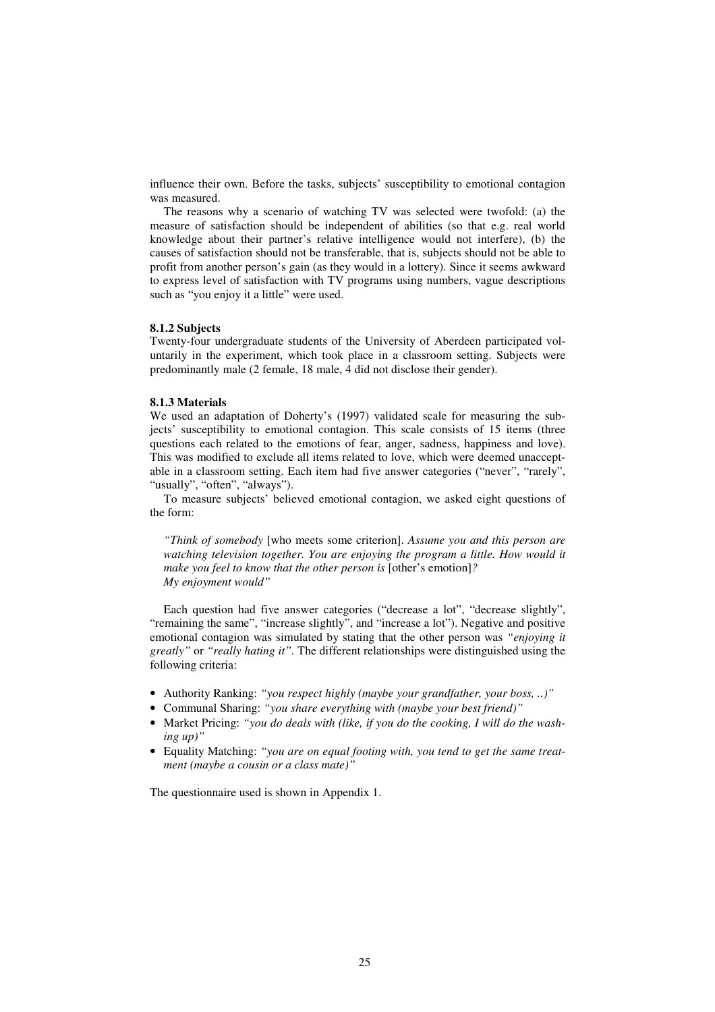influence their own. Before the tasks, subjects' susceptibility to emotional contagion was measured.

The reasons why a scenario of watching TV was selected were twofold: (a) the measure of satisfaction should be independent of abilities (so that e.g. real world knowledge about their partner's relative intelligence would not interfere), (b) the causes of satisfaction should not be transferable, that is, subjects should not be able to profit from another person's gain (as they would in a lottery). Since it seems awkward to express level of satisfaction with TV programs using numbers, vague descriptions such as "you enjoy it a little" were used.

### **8.1.2 Subjects**

Twenty-four undergraduate students of the University of Aberdeen participated voluntarily in the experiment, which took place in a classroom setting. Subjects were predominantly male (2 female, 18 male, 4 did not disclose their gender).

### **8.1.3 Materials**

We used an adaptation of Doherty's (1997) validated scale for measuring the subjects' susceptibility to emotional contagion. This scale consists of 15 items (three questions each related to the emotions of fear, anger, sadness, happiness and love). This was modified to exclude all items related to love, which were deemed unacceptable in a classroom setting. Each item had five answer categories ("never", "rarely", "usually", "often", "always").

To measure subjects' believed emotional contagion, we asked eight questions of the form:

*"Think of somebody* [who meets some criterion]. *Assume you and this person are watching television together. You are enjoying the program a little. How would it make you feel to know that the other person is* [other's emotion]*? My enjoyment would"* 

Each question had five answer categories ("decrease a lot", "decrease slightly", "remaining the same", "increase slightly", and "increase a lot"). Negative and positive emotional contagion was simulated by stating that the other person was *"enjoying it greatly"* or *"really hating it".* The different relationships were distinguished using the following criteria:

- Authority Ranking: *"you respect highly (maybe your grandfather, your boss, ..)"*
- Communal Sharing: *"you share everything with (maybe your best friend)"*
- Market Pricing: *"you do deals with (like, if you do the cooking, I will do the washing up)"*
- Equality Matching: *"you are on equal footing with, you tend to get the same treatment (maybe a cousin or a class mate)"*

The questionnaire used is shown in Appendix 1.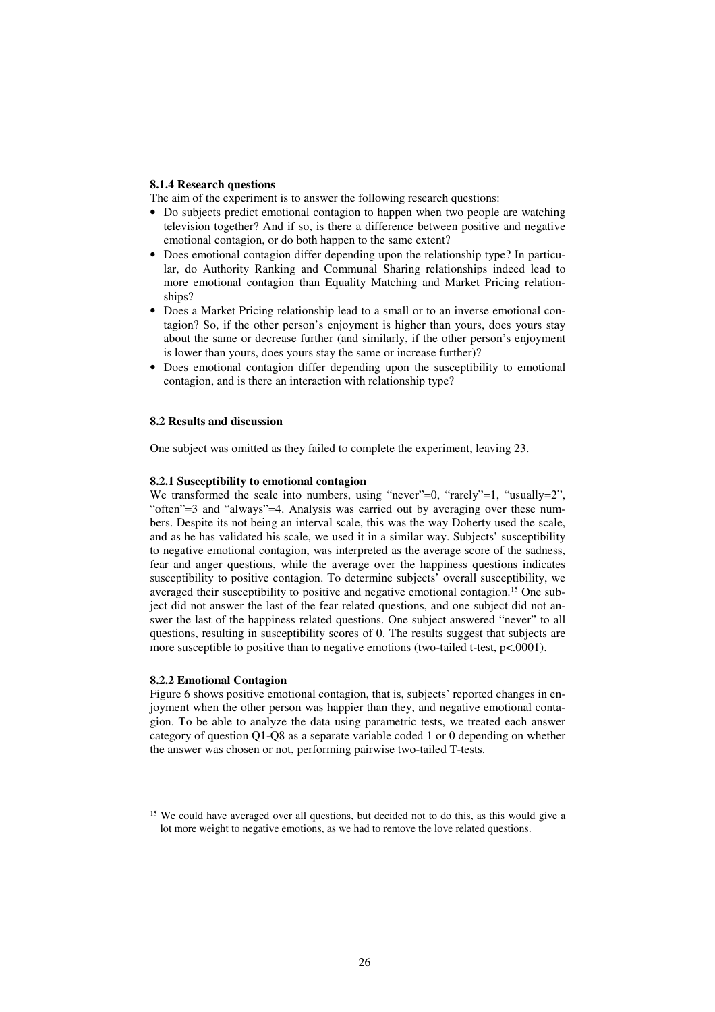### **8.1.4 Research questions**

The aim of the experiment is to answer the following research questions:

- Do subjects predict emotional contagion to happen when two people are watching television together? And if so, is there a difference between positive and negative emotional contagion, or do both happen to the same extent?
- Does emotional contagion differ depending upon the relationship type? In particular, do Authority Ranking and Communal Sharing relationships indeed lead to more emotional contagion than Equality Matching and Market Pricing relationships?
- Does a Market Pricing relationship lead to a small or to an inverse emotional contagion? So, if the other person's enjoyment is higher than yours, does yours stay about the same or decrease further (and similarly, if the other person's enjoyment is lower than yours, does yours stay the same or increase further)?
- Does emotional contagion differ depending upon the susceptibility to emotional contagion, and is there an interaction with relationship type?

## **8.2 Results and discussion**

One subject was omitted as they failed to complete the experiment, leaving 23.

### **8.2.1 Susceptibility to emotional contagion**

We transformed the scale into numbers, using "never"=0, "rarely"=1, "usually=2", "often"=3 and "always"=4. Analysis was carried out by averaging over these numbers. Despite its not being an interval scale, this was the way Doherty used the scale, and as he has validated his scale, we used it in a similar way. Subjects' susceptibility to negative emotional contagion, was interpreted as the average score of the sadness, fear and anger questions, while the average over the happiness questions indicates susceptibility to positive contagion. To determine subjects' overall susceptibility, we averaged their susceptibility to positive and negative emotional contagion.15 One subject did not answer the last of the fear related questions, and one subject did not answer the last of the happiness related questions. One subject answered "never" to all questions, resulting in susceptibility scores of 0. The results suggest that subjects are more susceptible to positive than to negative emotions (two-tailed t-test, p<.0001).

#### **8.2.2 Emotional Contagion**

l

Figure 6 shows positive emotional contagion, that is, subjects' reported changes in enjoyment when the other person was happier than they, and negative emotional contagion. To be able to analyze the data using parametric tests, we treated each answer category of question Q1-Q8 as a separate variable coded 1 or 0 depending on whether the answer was chosen or not, performing pairwise two-tailed T-tests.

<sup>&</sup>lt;sup>15</sup> We could have averaged over all questions, but decided not to do this, as this would give a lot more weight to negative emotions, as we had to remove the love related questions.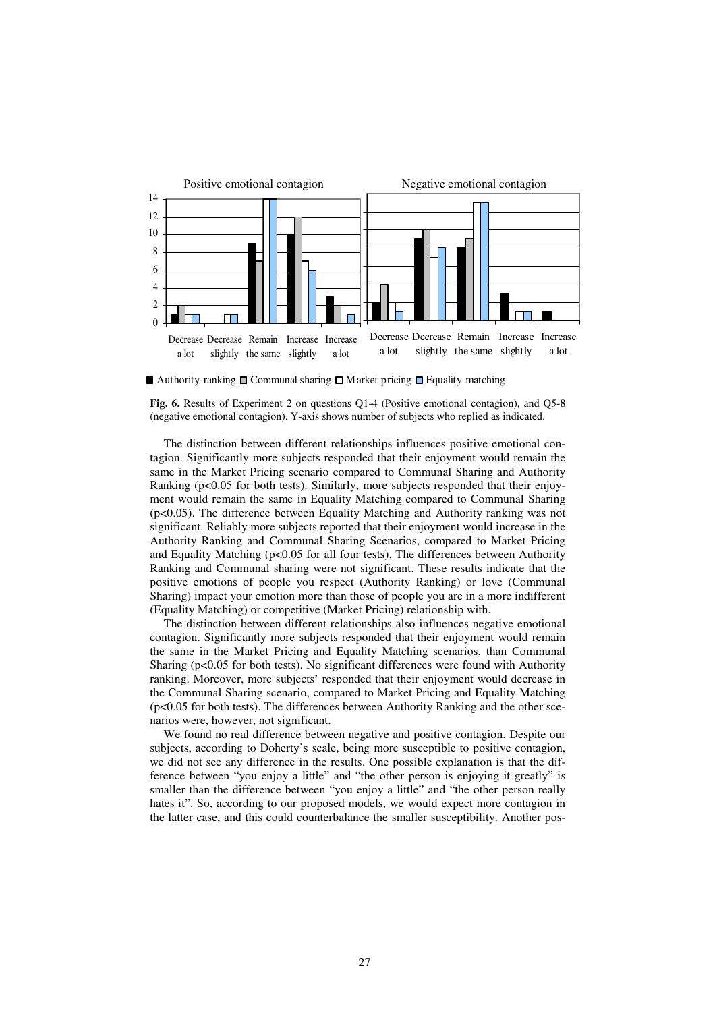

Authority ranking  $\Box$  Communal sharing  $\Box$  Market pricing  $\Box$  Equality matching

**Fig. 6.** Results of Experiment 2 on questions Q1-4 (Positive emotional contagion), and Q5-8 (negative emotional contagion). Y-axis shows number of subjects who replied as indicated.

The distinction between different relationships influences positive emotional contagion. Significantly more subjects responded that their enjoyment would remain the same in the Market Pricing scenario compared to Communal Sharing and Authority Ranking (p<0.05 for both tests). Similarly, more subjects responded that their enjoyment would remain the same in Equality Matching compared to Communal Sharing (p<0.05). The difference between Equality Matching and Authority ranking was not significant. Reliably more subjects reported that their enjoyment would increase in the Authority Ranking and Communal Sharing Scenarios, compared to Market Pricing and Equality Matching  $(p<0.05$  for all four tests). The differences between Authority Ranking and Communal sharing were not significant. These results indicate that the positive emotions of people you respect (Authority Ranking) or love (Communal Sharing) impact your emotion more than those of people you are in a more indifferent (Equality Matching) or competitive (Market Pricing) relationship with.

The distinction between different relationships also influences negative emotional contagion. Significantly more subjects responded that their enjoyment would remain the same in the Market Pricing and Equality Matching scenarios, than Communal Sharing (p<0.05 for both tests). No significant differences were found with Authority ranking. Moreover, more subjects' responded that their enjoyment would decrease in the Communal Sharing scenario, compared to Market Pricing and Equality Matching (p<0.05 for both tests). The differences between Authority Ranking and the other scenarios were, however, not significant.

We found no real difference between negative and positive contagion. Despite our subjects, according to Doherty's scale, being more susceptible to positive contagion, we did not see any difference in the results. One possible explanation is that the difference between "you enjoy a little" and "the other person is enjoying it greatly" is smaller than the difference between "you enjoy a little" and "the other person really hates it". So, according to our proposed models, we would expect more contagion in the latter case, and this could counterbalance the smaller susceptibility. Another pos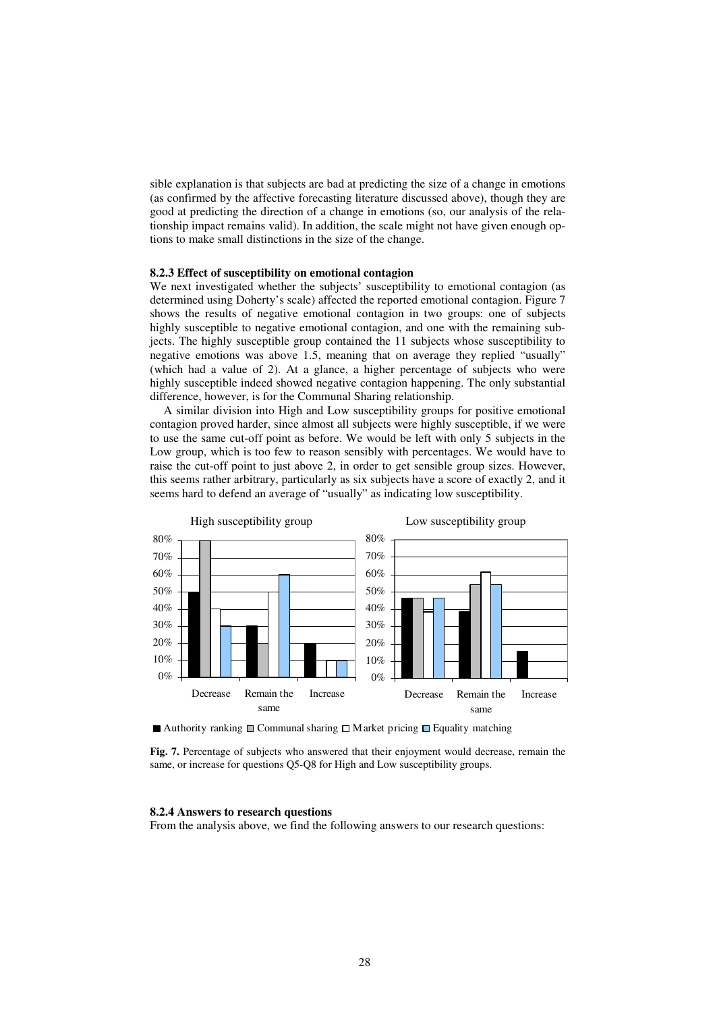sible explanation is that subjects are bad at predicting the size of a change in emotions (as confirmed by the affective forecasting literature discussed above), though they are good at predicting the direction of a change in emotions (so, our analysis of the relationship impact remains valid). In addition, the scale might not have given enough options to make small distinctions in the size of the change.

### **8.2.3 Effect of susceptibility on emotional contagion**

We next investigated whether the subjects' susceptibility to emotional contagion (as determined using Doherty's scale) affected the reported emotional contagion. Figure 7 shows the results of negative emotional contagion in two groups: one of subjects highly susceptible to negative emotional contagion, and one with the remaining subjects. The highly susceptible group contained the 11 subjects whose susceptibility to negative emotions was above 1.5, meaning that on average they replied "usually" (which had a value of 2). At a glance, a higher percentage of subjects who were highly susceptible indeed showed negative contagion happening. The only substantial difference, however, is for the Communal Sharing relationship.

A similar division into High and Low susceptibility groups for positive emotional contagion proved harder, since almost all subjects were highly susceptible, if we were to use the same cut-off point as before. We would be left with only 5 subjects in the Low group, which is too few to reason sensibly with percentages. We would have to raise the cut-off point to just above 2, in order to get sensible group sizes. However, this seems rather arbitrary, particularly as six subjects have a score of exactly 2, and it seems hard to defend an average of "usually" as indicating low susceptibility.



Authority ranking  $\Box$  Communal sharing  $\Box$  Market pricing  $\Box$  Equality matching

**Fig. 7.** Percentage of subjects who answered that their enjoyment would decrease, remain the same, or increase for questions Q5-Q8 for High and Low susceptibility groups.

#### **8.2.4 Answers to research questions**

From the analysis above, we find the following answers to our research questions: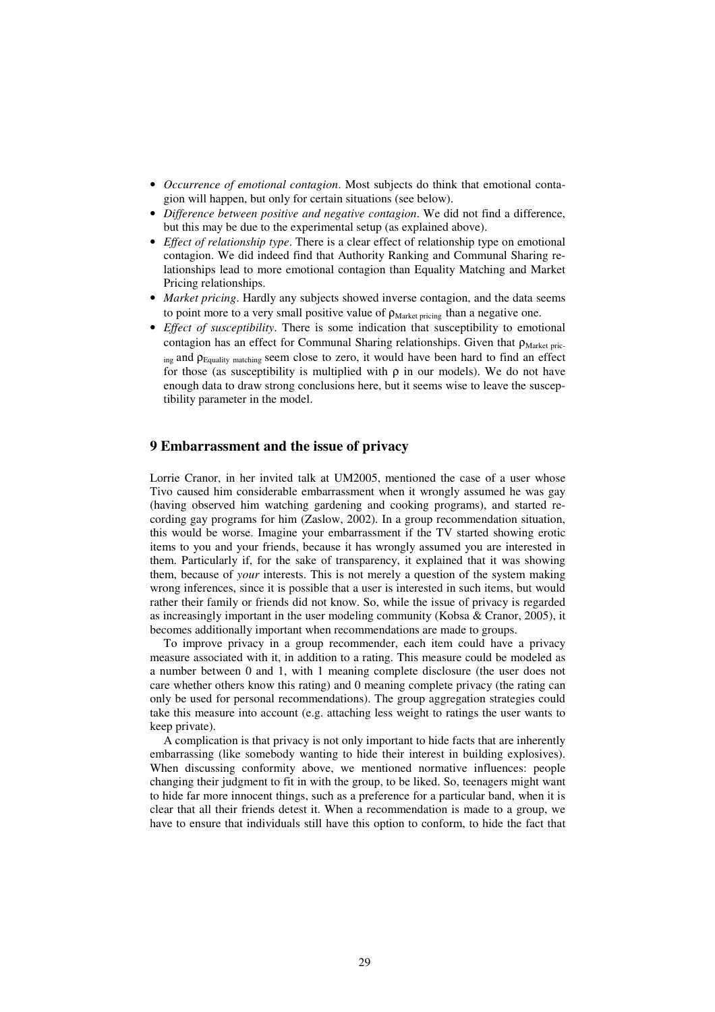- *Occurrence of emotional contagion*. Most subjects do think that emotional contagion will happen, but only for certain situations (see below).
- *Difference between positive and negative contagion*. We did not find a difference, but this may be due to the experimental setup (as explained above).
- *Effect of relationship type*. There is a clear effect of relationship type on emotional contagion. We did indeed find that Authority Ranking and Communal Sharing relationships lead to more emotional contagion than Equality Matching and Market Pricing relationships.
- *Market pricing*. Hardly any subjects showed inverse contagion, and the data seems to point more to a very small positive value of  $\rho_{\text{Market pricing}}$  than a negative one.
- *Effect of susceptibility*. There is some indication that susceptibility to emotional contagion has an effect for Communal Sharing relationships. Given that  $\rho_{\text{Market price}}$ ing and  $\rho_{\text{Equality matching}}$  seem close to zero, it would have been hard to find an effect for those (as susceptibility is multiplied with  $\rho$  in our models). We do not have enough data to draw strong conclusions here, but it seems wise to leave the susceptibility parameter in the model.

# **9 Embarrassment and the issue of privacy**

Lorrie Cranor, in her invited talk at UM2005, mentioned the case of a user whose Tivo caused him considerable embarrassment when it wrongly assumed he was gay (having observed him watching gardening and cooking programs), and started recording gay programs for him (Zaslow, 2002). In a group recommendation situation, this would be worse. Imagine your embarrassment if the TV started showing erotic items to you and your friends, because it has wrongly assumed you are interested in them. Particularly if, for the sake of transparency, it explained that it was showing them, because of *your* interests. This is not merely a question of the system making wrong inferences, since it is possible that a user is interested in such items, but would rather their family or friends did not know. So, while the issue of privacy is regarded as increasingly important in the user modeling community (Kobsa & Cranor, 2005), it becomes additionally important when recommendations are made to groups.

To improve privacy in a group recommender, each item could have a privacy measure associated with it, in addition to a rating. This measure could be modeled as a number between 0 and 1, with 1 meaning complete disclosure (the user does not care whether others know this rating) and 0 meaning complete privacy (the rating can only be used for personal recommendations). The group aggregation strategies could take this measure into account (e.g. attaching less weight to ratings the user wants to keep private).

A complication is that privacy is not only important to hide facts that are inherently embarrassing (like somebody wanting to hide their interest in building explosives). When discussing conformity above, we mentioned normative influences: people changing their judgment to fit in with the group, to be liked. So, teenagers might want to hide far more innocent things, such as a preference for a particular band, when it is clear that all their friends detest it. When a recommendation is made to a group, we have to ensure that individuals still have this option to conform, to hide the fact that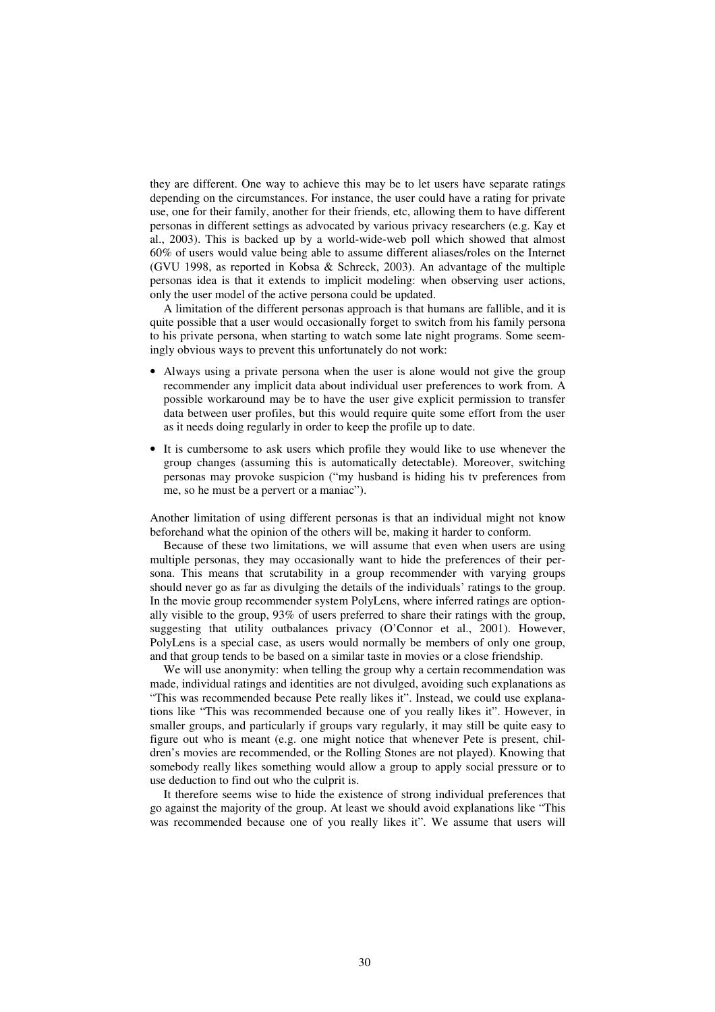they are different. One way to achieve this may be to let users have separate ratings depending on the circumstances. For instance, the user could have a rating for private use, one for their family, another for their friends, etc, allowing them to have different personas in different settings as advocated by various privacy researchers (e.g. Kay et al., 2003). This is backed up by a world-wide-web poll which showed that almost 60% of users would value being able to assume different aliases/roles on the Internet (GVU 1998, as reported in Kobsa & Schreck, 2003). An advantage of the multiple personas idea is that it extends to implicit modeling: when observing user actions, only the user model of the active persona could be updated.

A limitation of the different personas approach is that humans are fallible, and it is quite possible that a user would occasionally forget to switch from his family persona to his private persona, when starting to watch some late night programs. Some seemingly obvious ways to prevent this unfortunately do not work:

- Always using a private persona when the user is alone would not give the group recommender any implicit data about individual user preferences to work from. A possible workaround may be to have the user give explicit permission to transfer data between user profiles, but this would require quite some effort from the user as it needs doing regularly in order to keep the profile up to date.
- It is cumbersome to ask users which profile they would like to use whenever the group changes (assuming this is automatically detectable). Moreover, switching personas may provoke suspicion ("my husband is hiding his tv preferences from me, so he must be a pervert or a maniac").

Another limitation of using different personas is that an individual might not know beforehand what the opinion of the others will be, making it harder to conform.

Because of these two limitations, we will assume that even when users are using multiple personas, they may occasionally want to hide the preferences of their persona. This means that scrutability in a group recommender with varying groups should never go as far as divulging the details of the individuals' ratings to the group. In the movie group recommender system PolyLens, where inferred ratings are optionally visible to the group, 93% of users preferred to share their ratings with the group, suggesting that utility outbalances privacy (O'Connor et al., 2001). However, PolyLens is a special case, as users would normally be members of only one group, and that group tends to be based on a similar taste in movies or a close friendship.

We will use anonymity: when telling the group why a certain recommendation was made, individual ratings and identities are not divulged, avoiding such explanations as "This was recommended because Pete really likes it". Instead, we could use explanations like "This was recommended because one of you really likes it". However, in smaller groups, and particularly if groups vary regularly, it may still be quite easy to figure out who is meant (e.g. one might notice that whenever Pete is present, children's movies are recommended, or the Rolling Stones are not played). Knowing that somebody really likes something would allow a group to apply social pressure or to use deduction to find out who the culprit is.

It therefore seems wise to hide the existence of strong individual preferences that go against the majority of the group. At least we should avoid explanations like "This was recommended because one of you really likes it". We assume that users will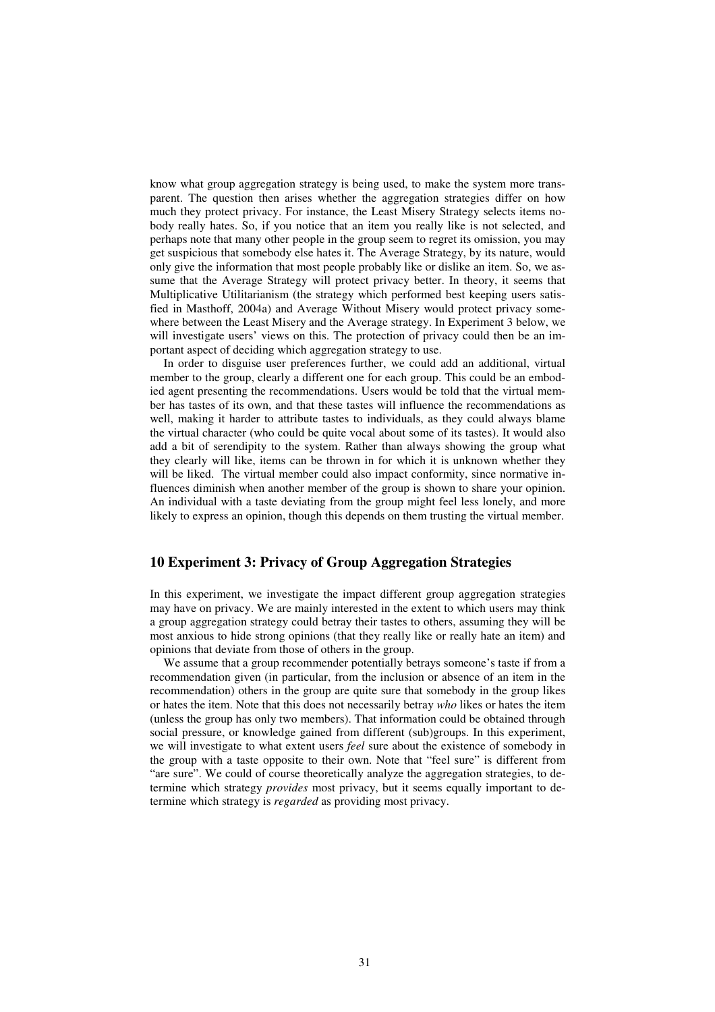know what group aggregation strategy is being used, to make the system more transparent. The question then arises whether the aggregation strategies differ on how much they protect privacy. For instance, the Least Misery Strategy selects items nobody really hates. So, if you notice that an item you really like is not selected, and perhaps note that many other people in the group seem to regret its omission, you may get suspicious that somebody else hates it. The Average Strategy, by its nature, would only give the information that most people probably like or dislike an item. So, we assume that the Average Strategy will protect privacy better. In theory, it seems that Multiplicative Utilitarianism (the strategy which performed best keeping users satisfied in Masthoff, 2004a) and Average Without Misery would protect privacy somewhere between the Least Misery and the Average strategy. In Experiment 3 below, we will investigate users' views on this. The protection of privacy could then be an important aspect of deciding which aggregation strategy to use.

In order to disguise user preferences further, we could add an additional, virtual member to the group, clearly a different one for each group. This could be an embodied agent presenting the recommendations. Users would be told that the virtual member has tastes of its own, and that these tastes will influence the recommendations as well, making it harder to attribute tastes to individuals, as they could always blame the virtual character (who could be quite vocal about some of its tastes). It would also add a bit of serendipity to the system. Rather than always showing the group what they clearly will like, items can be thrown in for which it is unknown whether they will be liked. The virtual member could also impact conformity, since normative influences diminish when another member of the group is shown to share your opinion. An individual with a taste deviating from the group might feel less lonely, and more likely to express an opinion, though this depends on them trusting the virtual member.

# **10 Experiment 3: Privacy of Group Aggregation Strategies**

In this experiment, we investigate the impact different group aggregation strategies may have on privacy. We are mainly interested in the extent to which users may think a group aggregation strategy could betray their tastes to others, assuming they will be most anxious to hide strong opinions (that they really like or really hate an item) and opinions that deviate from those of others in the group.

We assume that a group recommender potentially betrays someone's taste if from a recommendation given (in particular, from the inclusion or absence of an item in the recommendation) others in the group are quite sure that somebody in the group likes or hates the item. Note that this does not necessarily betray *who* likes or hates the item (unless the group has only two members). That information could be obtained through social pressure, or knowledge gained from different (sub)groups. In this experiment, we will investigate to what extent users *feel* sure about the existence of somebody in the group with a taste opposite to their own. Note that "feel sure" is different from "are sure". We could of course theoretically analyze the aggregation strategies, to determine which strategy *provides* most privacy, but it seems equally important to determine which strategy is *regarded* as providing most privacy.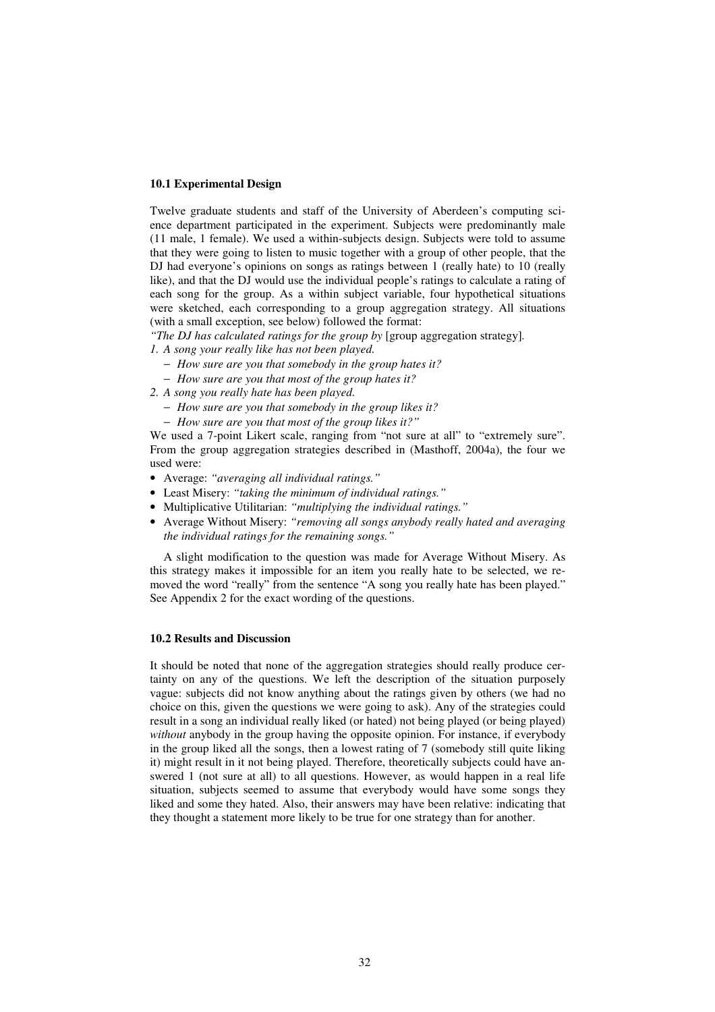### **10.1 Experimental Design**

Twelve graduate students and staff of the University of Aberdeen's computing science department participated in the experiment. Subjects were predominantly male (11 male, 1 female). We used a within-subjects design. Subjects were told to assume that they were going to listen to music together with a group of other people, that the DJ had everyone's opinions on songs as ratings between 1 (really hate) to 10 (really like), and that the DJ would use the individual people's ratings to calculate a rating of each song for the group. As a within subject variable, four hypothetical situations were sketched, each corresponding to a group aggregation strategy. All situations (with a small exception, see below) followed the format:

*"The DJ has calculated ratings for the group by* [group aggregation strategy]*.* 

- *1. A song your really like has not been played.* 
	- − *How sure are you that somebody in the group hates it?*
	- − *How sure are you that most of the group hates it?*
- *2. A song you really hate has been played.* 
	- − *How sure are you that somebody in the group likes it?*
	- − *How sure are you that most of the group likes it?"*

We used a 7-point Likert scale, ranging from "not sure at all" to "extremely sure". From the group aggregation strategies described in (Masthoff, 2004a), the four we used were:

- Average: *"averaging all individual ratings."*
- Least Misery: *"taking the minimum of individual ratings."*
- Multiplicative Utilitarian: *"multiplying the individual ratings."*
- Average Without Misery: *"removing all songs anybody really hated and averaging the individual ratings for the remaining songs."*

A slight modification to the question was made for Average Without Misery. As this strategy makes it impossible for an item you really hate to be selected, we removed the word "really" from the sentence "A song you really hate has been played." See Appendix 2 for the exact wording of the questions.

# **10.2 Results and Discussion**

It should be noted that none of the aggregation strategies should really produce certainty on any of the questions. We left the description of the situation purposely vague: subjects did not know anything about the ratings given by others (we had no choice on this, given the questions we were going to ask). Any of the strategies could result in a song an individual really liked (or hated) not being played (or being played) *without* anybody in the group having the opposite opinion. For instance, if everybody in the group liked all the songs, then a lowest rating of 7 (somebody still quite liking it) might result in it not being played. Therefore, theoretically subjects could have answered 1 (not sure at all) to all questions. However, as would happen in a real life situation, subjects seemed to assume that everybody would have some songs they liked and some they hated. Also, their answers may have been relative: indicating that they thought a statement more likely to be true for one strategy than for another.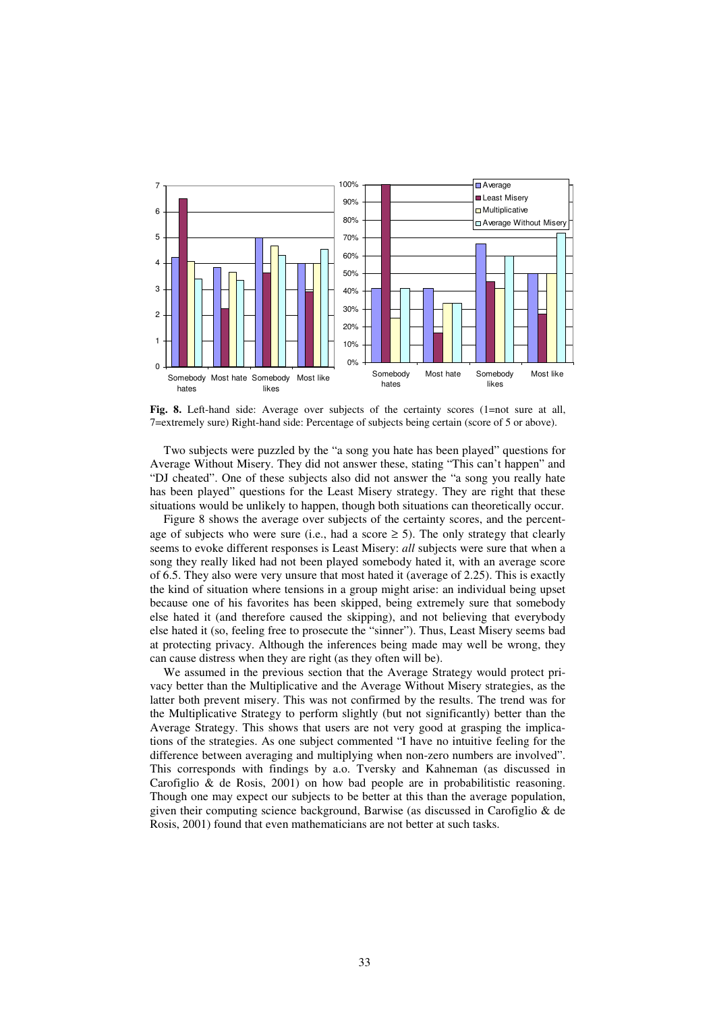

Fig. 8. Left-hand side: Average over subjects of the certainty scores (1=not sure at all, 7=extremely sure) Right-hand side: Percentage of subjects being certain (score of 5 or above).

Two subjects were puzzled by the "a song you hate has been played" questions for Average Without Misery. They did not answer these, stating "This can't happen" and "DJ cheated". One of these subjects also did not answer the "a song you really hate has been played" questions for the Least Misery strategy. They are right that these situations would be unlikely to happen, though both situations can theoretically occur.

Figure 8 shows the average over subjects of the certainty scores, and the percentage of subjects who were sure (i.e., had a score  $\geq$  5). The only strategy that clearly seems to evoke different responses is Least Misery: *all* subjects were sure that when a song they really liked had not been played somebody hated it, with an average score of 6.5. They also were very unsure that most hated it (average of 2.25). This is exactly the kind of situation where tensions in a group might arise: an individual being upset because one of his favorites has been skipped, being extremely sure that somebody else hated it (and therefore caused the skipping), and not believing that everybody else hated it (so, feeling free to prosecute the "sinner"). Thus, Least Misery seems bad at protecting privacy. Although the inferences being made may well be wrong, they can cause distress when they are right (as they often will be).

We assumed in the previous section that the Average Strategy would protect privacy better than the Multiplicative and the Average Without Misery strategies, as the latter both prevent misery. This was not confirmed by the results. The trend was for the Multiplicative Strategy to perform slightly (but not significantly) better than the Average Strategy. This shows that users are not very good at grasping the implications of the strategies. As one subject commented "I have no intuitive feeling for the difference between averaging and multiplying when non-zero numbers are involved". This corresponds with findings by a.o. Tversky and Kahneman (as discussed in Carofiglio & de Rosis, 2001) on how bad people are in probabilitistic reasoning. Though one may expect our subjects to be better at this than the average population, given their computing science background, Barwise (as discussed in Carofiglio & de Rosis, 2001) found that even mathematicians are not better at such tasks.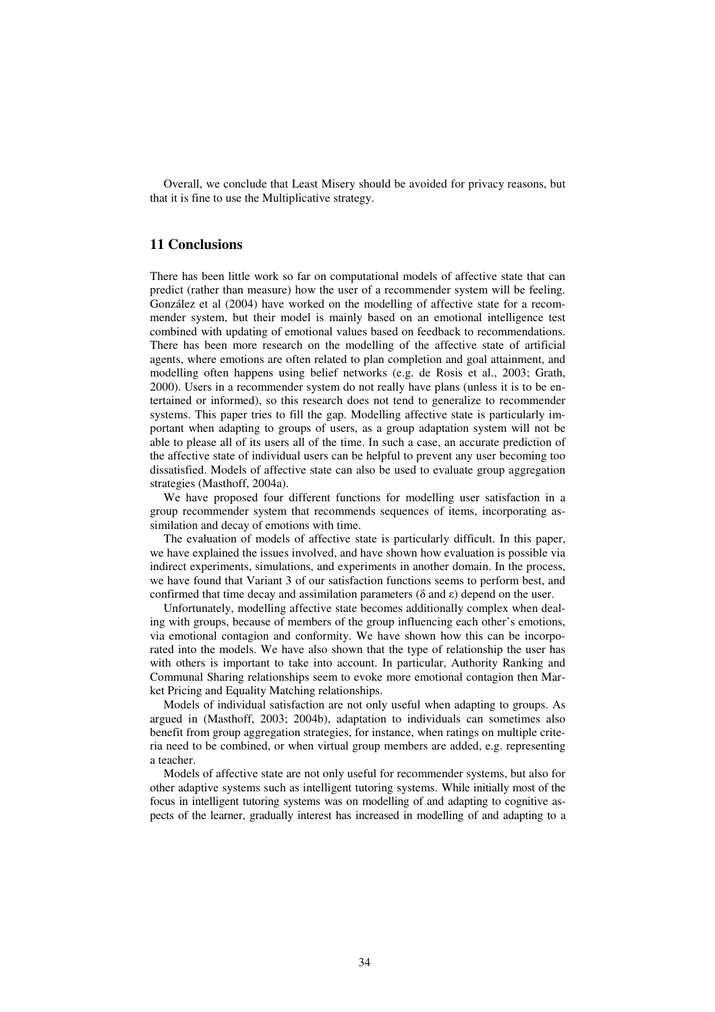Overall, we conclude that Least Misery should be avoided for privacy reasons, but that it is fine to use the Multiplicative strategy.

# **11 Conclusions**

There has been little work so far on computational models of affective state that can predict (rather than measure) how the user of a recommender system will be feeling. González et al (2004) have worked on the modelling of affective state for a recommender system, but their model is mainly based on an emotional intelligence test combined with updating of emotional values based on feedback to recommendations. There has been more research on the modelling of the affective state of artificial agents, where emotions are often related to plan completion and goal attainment, and modelling often happens using belief networks (e.g. de Rosis et al., 2003; Grath, 2000). Users in a recommender system do not really have plans (unless it is to be entertained or informed), so this research does not tend to generalize to recommender systems. This paper tries to fill the gap. Modelling affective state is particularly important when adapting to groups of users, as a group adaptation system will not be able to please all of its users all of the time. In such a case, an accurate prediction of the affective state of individual users can be helpful to prevent any user becoming too dissatisfied. Models of affective state can also be used to evaluate group aggregation strategies (Masthoff, 2004a).

We have proposed four different functions for modelling user satisfaction in a group recommender system that recommends sequences of items, incorporating assimilation and decay of emotions with time.

The evaluation of models of affective state is particularly difficult. In this paper, we have explained the issues involved, and have shown how evaluation is possible via indirect experiments, simulations, and experiments in another domain. In the process, we have found that Variant 3 of our satisfaction functions seems to perform best, and confirmed that time decay and assimilation parameters (δ and ε) depend on the user.

Unfortunately, modelling affective state becomes additionally complex when dealing with groups, because of members of the group influencing each other's emotions, via emotional contagion and conformity. We have shown how this can be incorporated into the models. We have also shown that the type of relationship the user has with others is important to take into account. In particular, Authority Ranking and Communal Sharing relationships seem to evoke more emotional contagion then Market Pricing and Equality Matching relationships.

Models of individual satisfaction are not only useful when adapting to groups. As argued in (Masthoff, 2003; 2004b), adaptation to individuals can sometimes also benefit from group aggregation strategies, for instance, when ratings on multiple criteria need to be combined, or when virtual group members are added, e.g. representing a teacher.

Models of affective state are not only useful for recommender systems, but also for other adaptive systems such as intelligent tutoring systems. While initially most of the focus in intelligent tutoring systems was on modelling of and adapting to cognitive aspects of the learner, gradually interest has increased in modelling of and adapting to a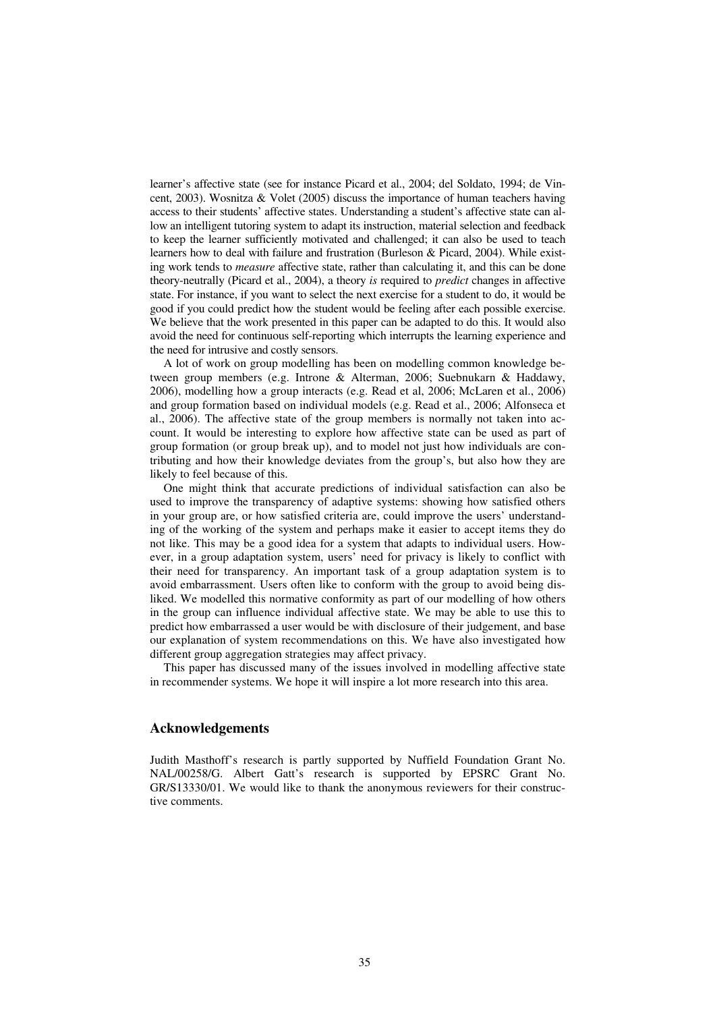learner's affective state (see for instance Picard et al., 2004; del Soldato, 1994; de Vincent, 2003). Wosnitza & Volet (2005) discuss the importance of human teachers having access to their students' affective states. Understanding a student's affective state can allow an intelligent tutoring system to adapt its instruction, material selection and feedback to keep the learner sufficiently motivated and challenged; it can also be used to teach learners how to deal with failure and frustration (Burleson & Picard, 2004). While existing work tends to *measure* affective state, rather than calculating it, and this can be done theory-neutrally (Picard et al., 2004), a theory *is* required to *predict* changes in affective state. For instance, if you want to select the next exercise for a student to do, it would be good if you could predict how the student would be feeling after each possible exercise. We believe that the work presented in this paper can be adapted to do this. It would also avoid the need for continuous self-reporting which interrupts the learning experience and the need for intrusive and costly sensors.

A lot of work on group modelling has been on modelling common knowledge between group members (e.g. Introne & Alterman, 2006; Suebnukarn & Haddawy, 2006), modelling how a group interacts (e.g. Read et al, 2006; McLaren et al., 2006) and group formation based on individual models (e.g. Read et al., 2006; Alfonseca et al., 2006). The affective state of the group members is normally not taken into account. It would be interesting to explore how affective state can be used as part of group formation (or group break up), and to model not just how individuals are contributing and how their knowledge deviates from the group's, but also how they are likely to feel because of this.

One might think that accurate predictions of individual satisfaction can also be used to improve the transparency of adaptive systems: showing how satisfied others in your group are, or how satisfied criteria are, could improve the users' understanding of the working of the system and perhaps make it easier to accept items they do not like. This may be a good idea for a system that adapts to individual users. However, in a group adaptation system, users' need for privacy is likely to conflict with their need for transparency. An important task of a group adaptation system is to avoid embarrassment. Users often like to conform with the group to avoid being disliked. We modelled this normative conformity as part of our modelling of how others in the group can influence individual affective state. We may be able to use this to predict how embarrassed a user would be with disclosure of their judgement, and base our explanation of system recommendations on this. We have also investigated how different group aggregation strategies may affect privacy.

This paper has discussed many of the issues involved in modelling affective state in recommender systems. We hope it will inspire a lot more research into this area.

# **Acknowledgements**

Judith Masthoff's research is partly supported by Nuffield Foundation Grant No. NAL/00258/G. Albert Gatt's research is supported by EPSRC Grant No. GR/S13330/01. We would like to thank the anonymous reviewers for their constructive comments.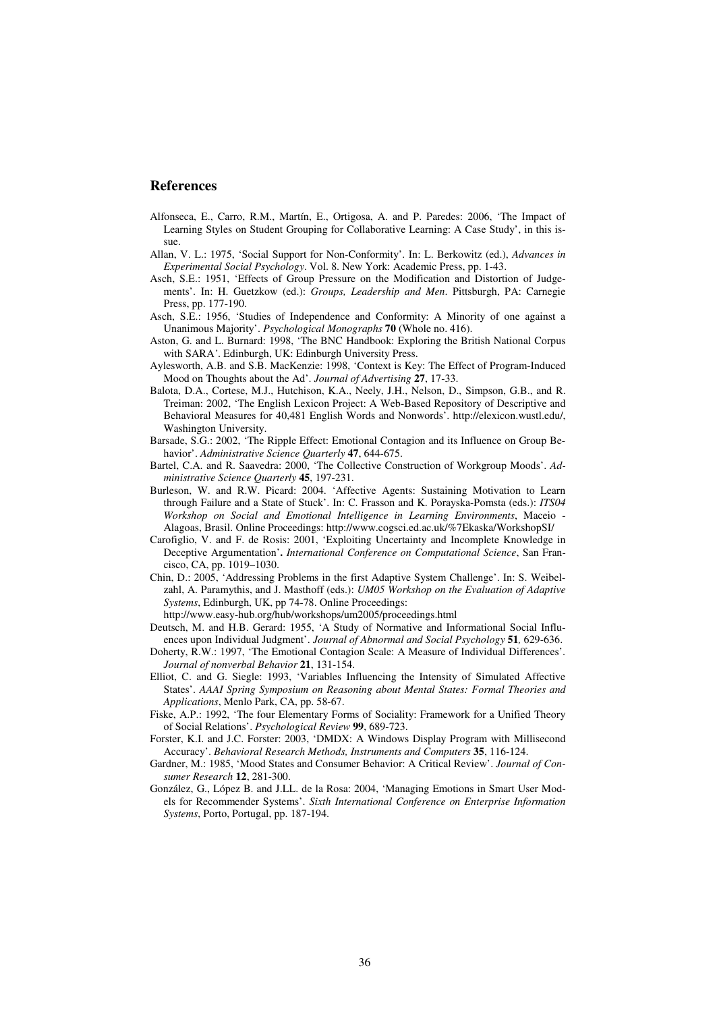# **References**

- Alfonseca, E., Carro, R.M., Martín, E., Ortigosa, A. and P. Paredes: 2006, 'The Impact of Learning Styles on Student Grouping for Collaborative Learning: A Case Study', in this issue.
- Allan, V. L.: 1975, 'Social Support for Non-Conformity'. In: L. Berkowitz (ed.), *Advances in Experimental Social Psychology*. Vol. 8. New York: Academic Press, pp. 1-43.
- Asch, S.E.: 1951, 'Effects of Group Pressure on the Modification and Distortion of Judgements'. In: H. Guetzkow (ed.): *Groups, Leadership and Men*. Pittsburgh, PA: Carnegie Press, pp. 177-190.
- Asch, S.E.: 1956, 'Studies of Independence and Conformity: A Minority of one against a Unanimous Majority'. *Psychological Monographs* **70** (Whole no. 416).
- Aston, G. and L. Burnard: 1998, 'The BNC Handbook: Exploring the British National Corpus with SARA*'*. Edinburgh, UK: Edinburgh University Press.
- Aylesworth, A.B. and S.B. MacKenzie: 1998, 'Context is Key: The Effect of Program-Induced Mood on Thoughts about the Ad'. *Journal of Advertising* **27**, 17-33.
- Balota, D.A., Cortese, M.J., Hutchison, K.A., Neely, J.H., Nelson, D., Simpson, G.B., and R. Treiman: 2002, 'The English Lexicon Project: A Web-Based Repository of Descriptive and Behavioral Measures for 40,481 English Words and Nonwords'. http://elexicon.wustl.edu/, Washington University.
- Barsade, S.G.: 2002, 'The Ripple Effect: Emotional Contagion and its Influence on Group Behavior'. *Administrative Science Quarterly* **47**, 644-675.
- Bartel, C.A. and R. Saavedra: 2000, 'The Collective Construction of Workgroup Moods'. *Administrative Science Quarterly* **45**, 197-231.
- Burleson, W. and R.W. Picard: 2004. 'Affective Agents: Sustaining Motivation to Learn through Failure and a State of Stuck'. In: C. Frasson and K. Porayska-Pomsta (eds.): *ITS04 Workshop on Social and Emotional Intelligence in Learning Environments*, Maceio - Alagoas, Brasil. Online Proceedings: http://www.cogsci.ed.ac.uk/%7Ekaska/WorkshopSI/
- Carofiglio, V. and F. de Rosis: 2001, 'Exploiting Uncertainty and Incomplete Knowledge in Deceptive Argumentation'**.** *International Conference on Computational Science*, San Francisco, CA, pp. 1019–1030.
- Chin, D.: 2005, 'Addressing Problems in the first Adaptive System Challenge'. In: S. Weibelzahl, A. Paramythis, and J. Masthoff (eds.): *UM05 Workshop on the Evaluation of Adaptive Systems*, Edinburgh, UK, pp 74-78. Online Proceedings: http://www.easy-hub.org/hub/workshops/um2005/proceedings.html
- Deutsch, M. and H.B. Gerard: 1955, 'A Study of Normative and Informational Social Influences upon Individual Judgment'. *Journal of Abnormal and Social Psychology* **51***,* 629-636.
- Doherty, R.W.: 1997, 'The Emotional Contagion Scale: A Measure of Individual Differences'. *Journal of nonverbal Behavior* **21**, 131-154.
- Elliot, C. and G. Siegle: 1993, 'Variables Influencing the Intensity of Simulated Affective States'. *AAAI Spring Symposium on Reasoning about Mental States: Formal Theories and Applications*, Menlo Park, CA, pp. 58-67.
- Fiske, A.P.: 1992, 'The four Elementary Forms of Sociality: Framework for a Unified Theory of Social Relations'. *Psychological Review* **99**, 689-723.
- Forster, K.I. and J.C. Forster: 2003, 'DMDX: A Windows Display Program with Millisecond Accuracy'. *Behavioral Research Methods, Instruments and Computers* **35**, 116-124.
- Gardner, M.: 1985, 'Mood States and Consumer Behavior: A Critical Review'. *Journal of Consumer Research* **12**, 281-300.
- González, G., López B. and J.LL. de la Rosa: 2004, 'Managing Emotions in Smart User Models for Recommender Systems'. *Sixth International Conference on Enterprise Information Systems*, Porto, Portugal, pp. 187-194.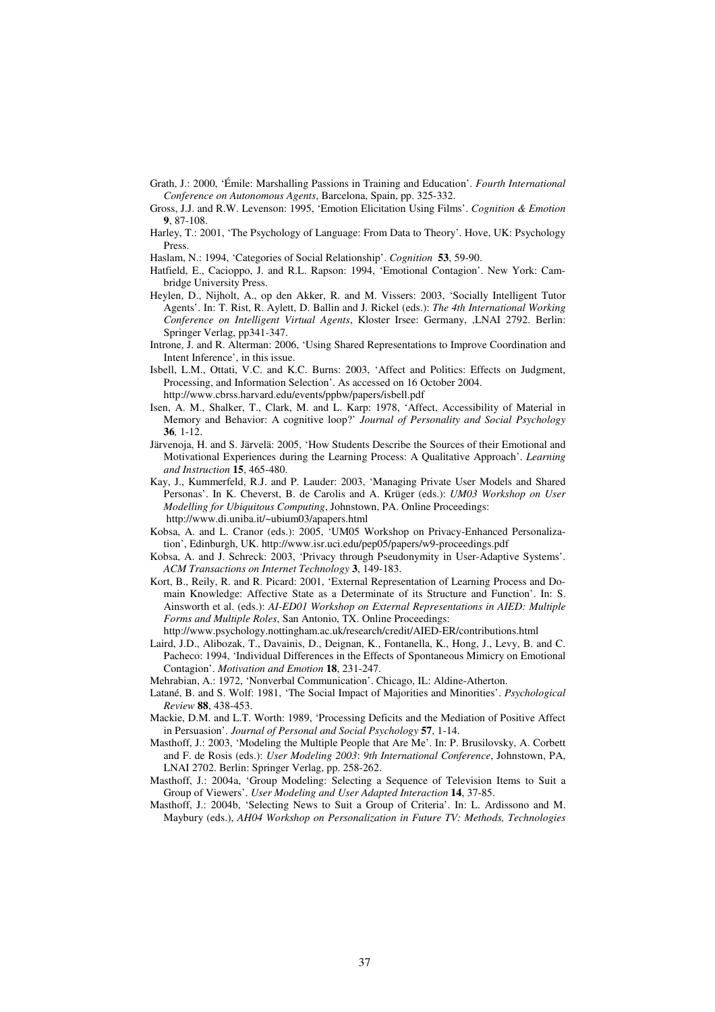- Grath, J.: 2000, 'Émile: Marshalling Passions in Training and Education'. *Fourth International Conference on Autonomous Agents*, Barcelona, Spain, pp. 325-332.
- Gross, J.J. and R.W. Levenson: 1995, 'Emotion Elicitation Using Films'. *Cognition & Emotion*  **9**, 87-108.
- Harley, T.: 2001, 'The Psychology of Language: From Data to Theory'. Hove, UK: Psychology Press.
- Haslam, N.: 1994, 'Categories of Social Relationship'. *Cognition* **53**, 59-90.
- Hatfield, E., Cacioppo, J. and R.L. Rapson: 1994, 'Emotional Contagion'. New York: Cambridge University Press.
- Heylen, D., Nijholt, A., op den Akker, R. and M. Vissers: 2003, 'Socially Intelligent Tutor Agents'. In: T. Rist, R. Aylett, D. Ballin and J. Rickel (eds.): *The 4th International Working Conference on Intelligent Virtual Agents*, Kloster Irsee: Germany, ,LNAI 2792. Berlin: Springer Verlag, pp341-347.
- Introne, J. and R. Alterman: 2006, 'Using Shared Representations to Improve Coordination and Intent Inference', in this issue.
- Isbell, L.M., Ottati, V.C. and K.C. Burns: 2003, 'Affect and Politics: Effects on Judgment, Processing, and Information Selection'. As accessed on 16 October 2004. http://www.cbrss.harvard.edu/events/ppbw/papers/isbell.pdf
- Isen, A. M., Shalker, T., Clark, M. and L. Karp: 1978, 'Affect, Accessibility of Material in Memory and Behavior: A cognitive loop?' *Journal of Personality and Social Psychology* **36***,* 1-12.
- Järvenoja, H. and S. Järvelä: 2005, 'How Students Describe the Sources of their Emotional and Motivational Experiences during the Learning Process: A Qualitative Approach'. *Learning and Instruction* **15**, 465-480.
- Kay, J., Kummerfeld, R.J. and P. Lauder: 2003, 'Managing Private User Models and Shared Personas'. In K. Cheverst, B. de Carolis and A. Krüger (eds.): *UM03 Workshop on User Modelling for Ubiquitous Computing*, Johnstown, PA. Online Proceedings: http://www.di.uniba.it/~ubium03/apapers.html
- Kobsa, A. and L. Cranor (eds.): 2005, 'UM05 Workshop on Privacy-Enhanced Personalization', Edinburgh, UK. http://www.isr.uci.edu/pep05/papers/w9-proceedings.pdf
- Kobsa, A. and J. Schreck: 2003, 'Privacy through Pseudonymity in User-Adaptive Systems'. *ACM Transactions on Internet Technology* **3**, 149-183.
- Kort, B., Reily, R. and R. Picard: 2001, 'External Representation of Learning Process and Domain Knowledge: Affective State as a Determinate of its Structure and Function'. In: S. Ainsworth et al. (eds.): *AI-ED01 Workshop on External Representations in AIED: Multiple Forms and Multiple Roles*, San Antonio, TX. Online Proceedings:
- http://www.psychology.nottingham.ac.uk/research/credit/AIED-ER/contributions.html Laird, J.D., Alibozak, T., Davainis, D., Deignan, K., Fontanella, K., Hong, J., Levy, B. and C.
- Pacheco: 1994, 'Individual Differences in the Effects of Spontaneous Mimicry on Emotional Contagion'. *Motivation and Emotion* **18**, 231-247.
- Mehrabian, A.: 1972, 'Nonverbal Communication'. Chicago, IL: Aldine-Atherton.
- Latané, B. and S. Wolf: 1981, 'The Social Impact of Majorities and Minorities'. *Psychological Review* **88**, 438-453.
- Mackie, D.M. and L.T. Worth: 1989, 'Processing Deficits and the Mediation of Positive Affect in Persuasion'. *Journal of Personal and Social Psychology* **57**, 1-14.
- Masthoff, J.: 2003, 'Modeling the Multiple People that Are Me'. In: P. Brusilovsky, A. Corbett and F. de Rosis (eds.): *User Modeling 2003*: *9th International Conference*, Johnstown, PA, LNAI 2702. Berlin: Springer Verlag, pp. 258-262.
- Masthoff, J.: 2004a, 'Group Modeling: Selecting a Sequence of Television Items to Suit a Group of Viewers'. *User Modeling and User Adapted Interaction* **14**, 37-85.
- Masthoff, J.: 2004b, 'Selecting News to Suit a Group of Criteria'. In: L. Ardissono and M. Maybury (eds.), *AH04 Workshop on Personalization in Future TV: Methods, Technologies*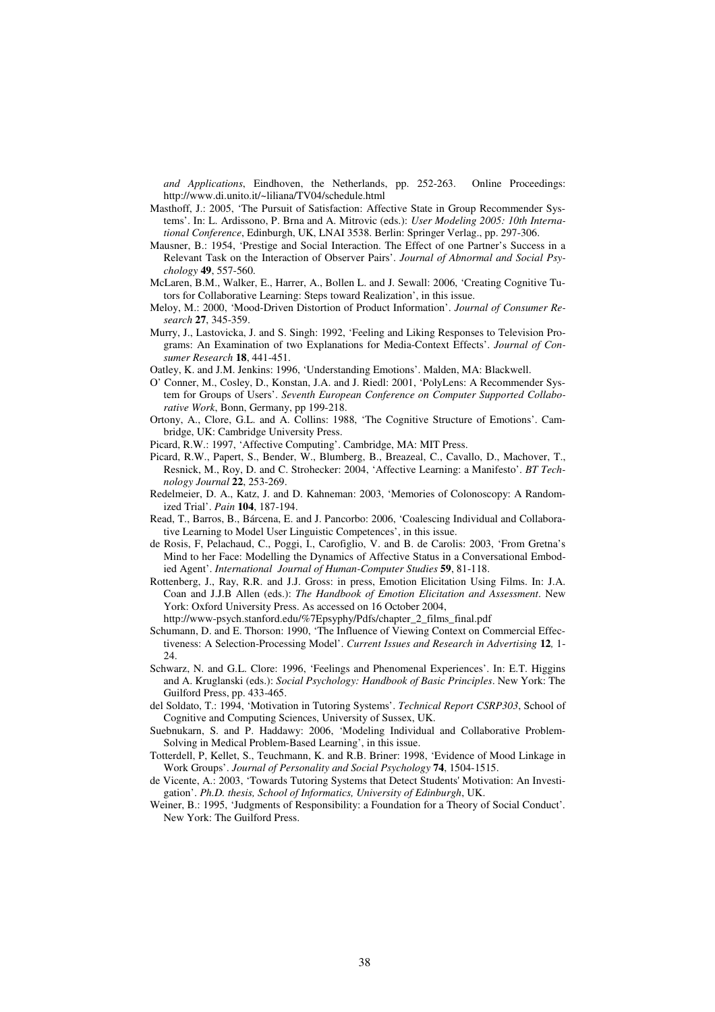*and Applications*, Eindhoven, the Netherlands, pp. 252-263. Online Proceedings: http://www.di.unito.it/~liliana/TV04/schedule.html

- Masthoff, J.: 2005, 'The Pursuit of Satisfaction: Affective State in Group Recommender Systems'. In: L. Ardissono, P. Brna and A. Mitrovic (eds.): *User Modeling 2005: 10th International Conference*, Edinburgh, UK, LNAI 3538. Berlin: Springer Verlag., pp. 297-306.
- Mausner, B.: 1954, 'Prestige and Social Interaction. The Effect of one Partner's Success in a Relevant Task on the Interaction of Observer Pairs'. *Journal of Abnormal and Social Psychology* **49**, 557-560.
- McLaren, B.M., Walker, E., Harrer, A., Bollen L. and J. Sewall: 2006, 'Creating Cognitive Tutors for Collaborative Learning: Steps toward Realization', in this issue.
- Meloy, M.: 2000, 'Mood-Driven Distortion of Product Information'. *Journal of Consumer Research* **27**, 345-359.
- Murry, J., Lastovicka, J. and S. Singh: 1992, 'Feeling and Liking Responses to Television Programs: An Examination of two Explanations for Media-Context Effects'. *Journal of Consumer Research* **18**, 441-451.
- Oatley, K. and J.M. Jenkins: 1996, 'Understanding Emotions'. Malden, MA: Blackwell.
- O' Conner, M., Cosley, D., Konstan, J.A. and J. Riedl: 2001, 'PolyLens: A Recommender System for Groups of Users'. *Seventh European Conference on Computer Supported Collaborative Work*, Bonn, Germany, pp 199-218.
- Ortony, A., Clore, G.L. and A. Collins: 1988, 'The Cognitive Structure of Emotions'. Cambridge, UK: Cambridge University Press.
- Picard, R.W.: 1997, 'Affective Computing'. Cambridge, MA: MIT Press.
- Picard, R.W., Papert, S., Bender, W., Blumberg, B., Breazeal, C., Cavallo, D., Machover, T., Resnick, M., Roy, D. and C. Strohecker: 2004, 'Affective Learning: a Manifesto'. *BT Technology Journal* **22**, 253-269.
- Redelmeier, D. A., Katz, J. and D. Kahneman: 2003, 'Memories of Colonoscopy: A Randomized Trial'. *Pain* **104**, 187-194.
- Read, T., Barros, B., Bárcena, E. and J. Pancorbo: 2006, 'Coalescing Individual and Collaborative Learning to Model User Linguistic Competences', in this issue.
- de Rosis, F, Pelachaud, C., Poggi, I., Carofiglio, V. and B. de Carolis: 2003, 'From Gretna's Mind to her Face: Modelling the Dynamics of Affective Status in a Conversational Embodied Agent'. *International Journal of Human-Computer Studies* **59**, 81-118.
- Rottenberg, J., Ray, R.R. and J.J. Gross: in press, Emotion Elicitation Using Films. In: J.A. Coan and J.J.B Allen (eds.): *The Handbook of Emotion Elicitation and Assessment*. New York: Oxford University Press. As accessed on 16 October 2004,
- http://www-psych.stanford.edu/%7Epsyphy/Pdfs/chapter\_2\_films\_final.pdf
- Schumann, D. and E. Thorson: 1990, 'The Influence of Viewing Context on Commercial Effectiveness: A Selection-Processing Model'. *Current Issues and Research in Advertising* **12***,* 1- 24
- Schwarz, N. and G.L. Clore: 1996, 'Feelings and Phenomenal Experiences'. In: E.T. Higgins and A. Kruglanski (eds.): *Social Psychology: Handbook of Basic Principles*. New York: The Guilford Press, pp. 433-465.
- del Soldato, T.: 1994, 'Motivation in Tutoring Systems'. *Technical Report CSRP303*, School of Cognitive and Computing Sciences, University of Sussex, UK.
- Suebnukarn, S. and P. Haddawy: 2006, 'Modeling Individual and Collaborative Problem-Solving in Medical Problem-Based Learning', in this issue.
- Totterdell, P, Kellet, S., Teuchmann, K. and R.B. Briner: 1998, 'Evidence of Mood Linkage in Work Groups'. *Journal of Personality and Social Psychology* **74**, 1504-1515.
- de Vicente, A.: 2003, 'Towards Tutoring Systems that Detect Students' Motivation: An Investigation'. *Ph.D. thesis, School of Informatics, University of Edinburgh*, UK.
- Weiner, B.: 1995, 'Judgments of Responsibility: a Foundation for a Theory of Social Conduct'*.* New York: The Guilford Press.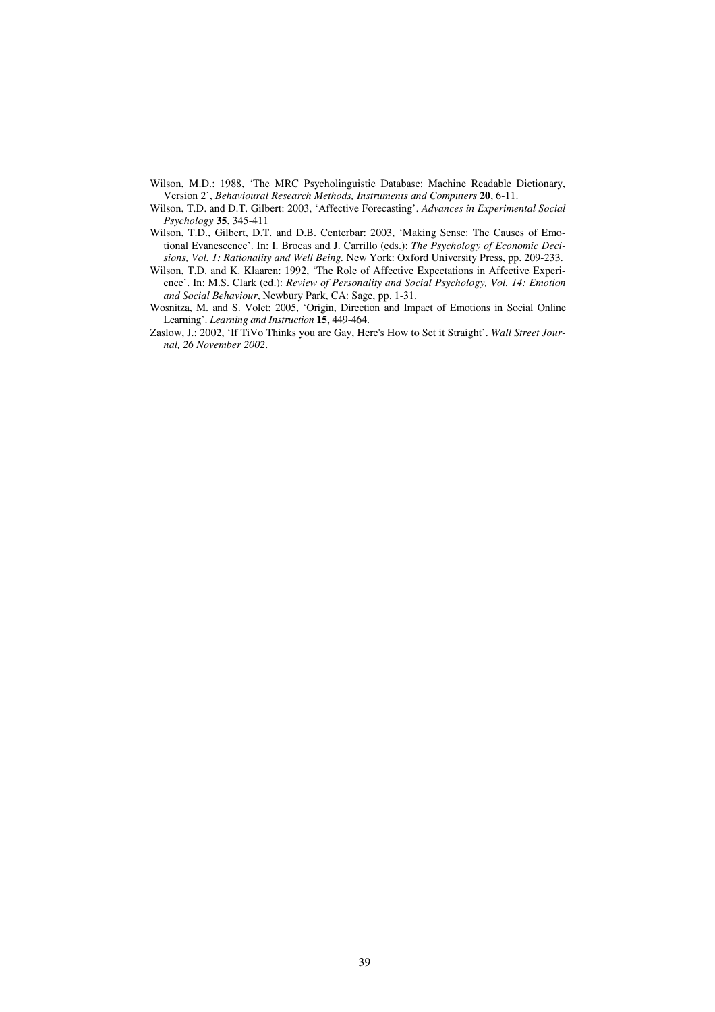- Wilson, M.D.: 1988, 'The MRC Psycholinguistic Database: Machine Readable Dictionary, Version 2', *Behavioural Research Methods, Instruments and Computers* **20**, 6-11.
- Wilson, T.D. and D.T. Gilbert: 2003, 'Affective Forecasting'. *Advances in Experimental Social Psychology* **35**, 345-411
- Wilson, T.D., Gilbert, D.T. and D.B. Centerbar: 2003, 'Making Sense: The Causes of Emotional Evanescence'. In: I. Brocas and J. Carrillo (eds.): *The Psychology of Economic Decisions, Vol. 1: Rationality and Well Being.* New York: Oxford University Press, pp. 209-233.
- Wilson, T.D. and K. Klaaren: 1992, 'The Role of Affective Expectations in Affective Experience'. In: M.S. Clark (ed.): *Review of Personality and Social Psychology, Vol. 14: Emotion and Social Behaviour*, Newbury Park, CA: Sage, pp. 1-31.
- Wosnitza, M. and S. Volet: 2005, 'Origin, Direction and Impact of Emotions in Social Online Learning'. *Learning and Instruction* **15**, 449-464.
- Zaslow, J.: 2002, 'If TiVo Thinks you are Gay, Here's How to Set it Straight'. *Wall Street Journal, 26 November 2002*.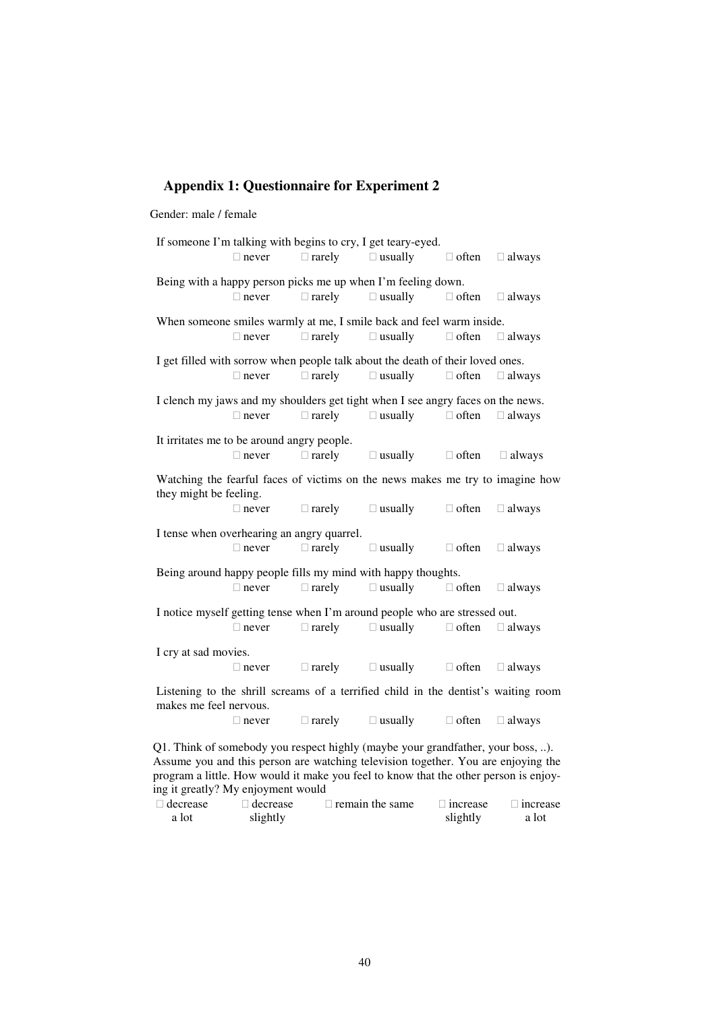# **Appendix 1: Questionnaire for Experiment 2**

Gender: male / female

|                                                                                                                                                                      | $\Box$ never                                                                       | $\Box$ rarely                | If someone I'm talking with begins to cry, I get teary-eyed.<br>$\Box$ usually               | $\Box$ often | $\Box$ always |  |
|----------------------------------------------------------------------------------------------------------------------------------------------------------------------|------------------------------------------------------------------------------------|------------------------------|----------------------------------------------------------------------------------------------|--------------|---------------|--|
|                                                                                                                                                                      |                                                                                    |                              | Being with a happy person picks me up when I'm feeling down.                                 |              |               |  |
|                                                                                                                                                                      | $\Box$ never                                                                       | $\Box$ rarely $\Box$ usually |                                                                                              | $\Box$ often | $\Box$ always |  |
|                                                                                                                                                                      |                                                                                    |                              | When someone smiles warmly at me, I smile back and feel warm inside.                         |              |               |  |
|                                                                                                                                                                      | $\Box$ never                                                                       | $\Box$ rarely                | $\Box$ usually                                                                               | $\Box$ often | $\Box$ always |  |
|                                                                                                                                                                      |                                                                                    |                              | I get filled with sorrow when people talk about the death of their loved ones.               |              |               |  |
|                                                                                                                                                                      | $\Box$ never                                                                       | $\Box$ rarely                | $\Box$ usually                                                                               | $\Box$ often | $\Box$ always |  |
|                                                                                                                                                                      | $\Box$ never                                                                       | $\Box$ rarely $\Box$ usually | I clench my jaws and my shoulders get tight when I see angry faces on the news.              | $\Box$ often | $\Box$ always |  |
|                                                                                                                                                                      |                                                                                    |                              |                                                                                              |              |               |  |
| It irritates me to be around angry people.                                                                                                                           | $\Box$ never                                                                       | $\Box$ rarely                | $\Box$ usually $\Box$ often                                                                  |              | $\Box$ always |  |
| they might be feeling.                                                                                                                                               |                                                                                    |                              | Watching the fearful faces of victims on the news makes me try to imagine how                |              |               |  |
|                                                                                                                                                                      | $\Box$ never                                                                       | $\Box$ rarely $\Box$ usually |                                                                                              | $\Box$ often | $\Box$ always |  |
| I tense when overhearing an angry quarrel.                                                                                                                           |                                                                                    |                              |                                                                                              |              |               |  |
|                                                                                                                                                                      | $\Box$ never                                                                       |                              | $\Box$ rarely $\Box$ usually                                                                 | $\Box$ often | $\Box$ always |  |
|                                                                                                                                                                      |                                                                                    |                              | Being around happy people fills my mind with happy thoughts.                                 |              |               |  |
|                                                                                                                                                                      | $\Box$ never                                                                       | $\Box$ rarely                | $\Box$ usually                                                                               | $\Box$ often | $\Box$ always |  |
|                                                                                                                                                                      | $\Box$ never                                                                       | $\Box$ rarely                | I notice myself getting tense when I'm around people who are stressed out.<br>$\Box$ usually | $\Box$ often | $\Box$ always |  |
|                                                                                                                                                                      |                                                                                    |                              |                                                                                              |              |               |  |
| I cry at sad movies.                                                                                                                                                 | $\Box$ never                                                                       |                              | $\Box$ rarely $\Box$ usually $\Box$ often                                                    |              | $\Box$ always |  |
|                                                                                                                                                                      | Listening to the shrill screams of a terrified child in the dentist's waiting room |                              |                                                                                              |              |               |  |
| makes me feel nervous.                                                                                                                                               |                                                                                    |                              |                                                                                              |              |               |  |
|                                                                                                                                                                      | $\Box$ never                                                                       |                              | $\Box$ rarely $\Box$ usually                                                                 | $\Box$ often | $\Box$ always |  |
| Q1. Think of somebody you respect highly (maybe your grandfather, your boss, ).<br>Assume you and this person are watching television together. You are enjoying the |                                                                                    |                              |                                                                                              |              |               |  |

Assume you and this person are watching television together. You are enjoying the program a little. How would it make you feel to know that the other person is enjoying it greatly? My enjoyment would

| $\Box$ decrease | decrease | $\Box$ remain the same | $\Box$ increase | $\Box$ increase |
|-----------------|----------|------------------------|-----------------|-----------------|
| a lot           | slightly |                        | slightly        | a lot           |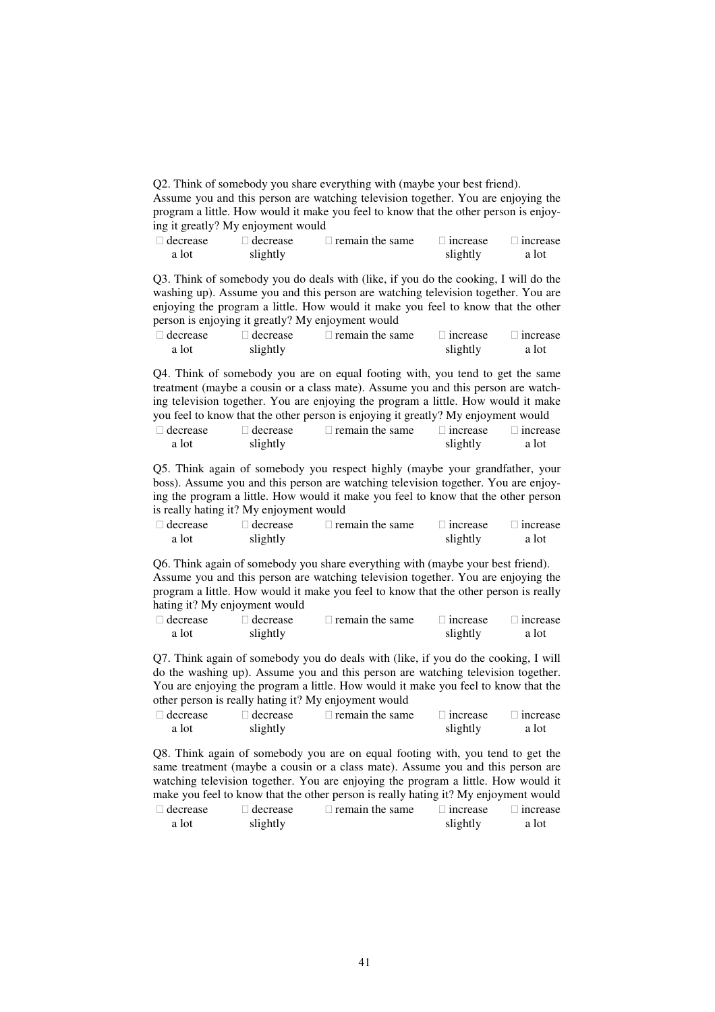Q2. Think of somebody you share everything with (maybe your best friend). Assume you and this person are watching television together. You are enjoying the program a little. How would it make you feel to know that the other person is enjoying it greatly? My enjoyment would

| $\Box$ decrease | $\Box$ decrease | $\Box$ remain the same | $\Box$ increase | $\Box$ increase |
|-----------------|-----------------|------------------------|-----------------|-----------------|
| a lot           | slightly        |                        | slightly        | a lot           |

Q3. Think of somebody you do deals with (like, if you do the cooking, I will do the washing up). Assume you and this person are watching television together. You are enjoying the program a little. How would it make you feel to know that the other person is enjoying it greatly? My enjoyment would

| $\Box$ decrease | $\Box$ decrease | $\Box$ remain the same | $\lceil$ increase | ncrease |
|-----------------|-----------------|------------------------|-------------------|---------|
| a lot           | slightly        |                        | slightly          | a lot   |

Q4. Think of somebody you are on equal footing with, you tend to get the same treatment (maybe a cousin or a class mate). Assume you and this person are watching television together. You are enjoying the program a little. How would it make you feel to know that the other person is enjoying it greatly? My enjoyment would

| $\Box$ decrease | $\Box$ decrease | $\Box$ remain the same | $\Box$ increase | $\Box$ increase |
|-----------------|-----------------|------------------------|-----------------|-----------------|
| a lot           | slightly        |                        | slightly        | a lot           |

Q5. Think again of somebody you respect highly (maybe your grandfather, your boss). Assume you and this person are watching television together. You are enjoying the program a little. How would it make you feel to know that the other person is really hating it? My enjoyment would

| $\Box$ decrease | decrease | $\Box$ remain the same | $\Box$ increase | $\Box$ increase |
|-----------------|----------|------------------------|-----------------|-----------------|
| a lot           | slightly |                        | slightly        | a lot           |

Q6. Think again of somebody you share everything with (maybe your best friend). Assume you and this person are watching television together. You are enjoying the program a little. How would it make you feel to know that the other person is really hating it? My enjoyment would

| $\Box$ decrease | $\Box$ decrease | $\Box$ remain the same | $\Box$ increase | $\Box$ increase |
|-----------------|-----------------|------------------------|-----------------|-----------------|
| a lot           | slightly        |                        | slightly        | a lot           |

Q7. Think again of somebody you do deals with (like, if you do the cooking, I will do the washing up). Assume you and this person are watching television together. You are enjoying the program a little. How would it make you feel to know that the other person is really hating it? My enjoyment would

| $\Box$ decrease | $\Box$ decrease | $\Box$ remain the same | $\Box$ increase | $\Box$ increase |
|-----------------|-----------------|------------------------|-----------------|-----------------|
| a lot           | slightly        |                        | slightly        | a lot           |

Q8. Think again of somebody you are on equal footing with, you tend to get the same treatment (maybe a cousin or a class mate). Assume you and this person are watching television together. You are enjoying the program a little. How would it make you feel to know that the other person is really hating it? My enjoyment would

| $\Box$ decrease | decrease | $\Box$ remain the same | $\Box$ increase | $\Box$ increase |
|-----------------|----------|------------------------|-----------------|-----------------|
| a lot           | slightly |                        | slightly        | a lot           |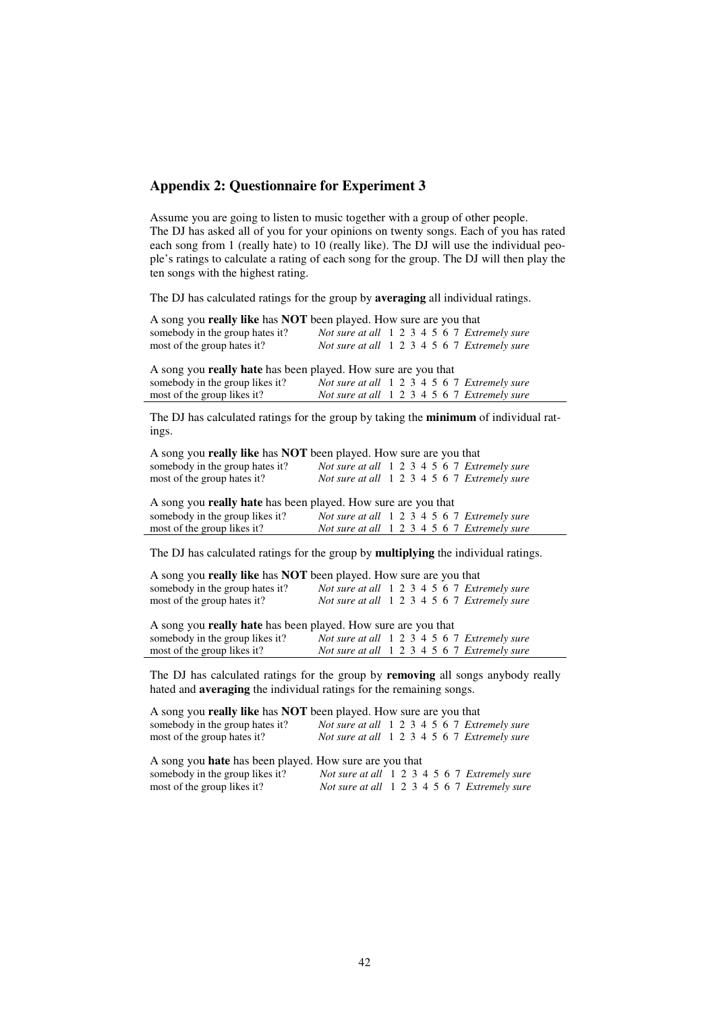# **Appendix 2: Questionnaire for Experiment 3**

Assume you are going to listen to music together with a group of other people. The DJ has asked all of you for your opinions on twenty songs. Each of you has rated each song from 1 (really hate) to 10 (really like). The DJ will use the individual people's ratings to calculate a rating of each song for the group. The DJ will then play the ten songs with the highest rating.

The DJ has calculated ratings for the group by **averaging** all individual ratings.

| A song you really like has NOT been played. How sure are you that |                                              |  |  |  |  |
|-------------------------------------------------------------------|----------------------------------------------|--|--|--|--|
| somebody in the group hates it?                                   | Not sure at all 1 2 3 4 5 6 7 Extremely sure |  |  |  |  |
| most of the group hates it?                                       | Not sure at all 1 2 3 4 5 6 7 Extremely sure |  |  |  |  |

| A song you really hate has been played. How sure are you that |  |  |  |  |  |  |                                              |
|---------------------------------------------------------------|--|--|--|--|--|--|----------------------------------------------|
| somebody in the group likes it?                               |  |  |  |  |  |  | Not sure at all 1 2 3 4 5 6 7 Extremely sure |
| most of the group likes it?                                   |  |  |  |  |  |  | Not sure at all 1 2 3 4 5 6 7 Extremely sure |

The DJ has calculated ratings for the group by taking the **minimum** of individual ratings.

| A song you <b>really like</b> has <b>NOT</b> been played. How sure are you that |                                              |  |  |  |  |  |
|---------------------------------------------------------------------------------|----------------------------------------------|--|--|--|--|--|
| somebody in the group hates it?                                                 | Not sure at all 1 2 3 4 5 6 7 Extremely sure |  |  |  |  |  |
| most of the group hates it?                                                     | Not sure at all 1 2 3 4 5 6 7 Extremely sure |  |  |  |  |  |
| A song you <b>really hate</b> has been played. How sure are you that            |                                              |  |  |  |  |  |
| somebody in the group likes it?<br>Not sure at all 1 2 3 4 5 6 7 Extremely sure |                                              |  |  |  |  |  |
| most of the group likes it?                                                     | Not sure at all 1 2 3 4 5 6 7 Extremely sure |  |  |  |  |  |

The DJ has calculated ratings for the group by **multiplying** the individual ratings.

| A song you <b>really like</b> has <b>NOT</b> been played. How sure are you that |  |  |  |  |  |  |                                              |
|---------------------------------------------------------------------------------|--|--|--|--|--|--|----------------------------------------------|
| somebody in the group hates it?                                                 |  |  |  |  |  |  | Not sure at all 1 2 3 4 5 6 7 Extremely sure |
| most of the group hates it?                                                     |  |  |  |  |  |  | Not sure at all 1 2 3 4 5 6 7 Extremely sure |

| A song you <b>really hate</b> has been played. How sure are you that |  |  |  |  |  |  |                                              |
|----------------------------------------------------------------------|--|--|--|--|--|--|----------------------------------------------|
| somebody in the group likes it?                                      |  |  |  |  |  |  | Not sure at all 1 2 3 4 5 6 7 Extremely sure |
| most of the group likes it?                                          |  |  |  |  |  |  | Not sure at all 1 2 3 4 5 6 7 Extremely sure |

The DJ has calculated ratings for the group by **removing** all songs anybody really hated and **averaging** the individual ratings for the remaining songs.

| A song you <b>really like</b> has <b>NOT</b> been played. How sure are you that |                                              |  |  |  |  |  |  |                                              |
|---------------------------------------------------------------------------------|----------------------------------------------|--|--|--|--|--|--|----------------------------------------------|
| somebody in the group hates it?                                                 |                                              |  |  |  |  |  |  | Not sure at all 1 2 3 4 5 6 7 Extremely sure |
| most of the group hates it?                                                     | Not sure at all 1 2 3 4 5 6 7 Extremely sure |  |  |  |  |  |  |                                              |
|                                                                                 |                                              |  |  |  |  |  |  |                                              |
| A song you <b>hate</b> has been played. How sure are you that                   |                                              |  |  |  |  |  |  |                                              |
| somebody in the group likes it?                                                 |                                              |  |  |  |  |  |  | Not sure at all 1 2 3 4 5 6 7 Extremely sure |
| most of the group likes it?                                                     |                                              |  |  |  |  |  |  | Not sure at all 1 2 3 4 5 6 7 Extremely sure |